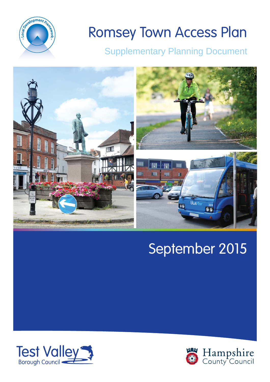

# Romsey Town Access Plan

### Supplementary Planning Document



## September 2015



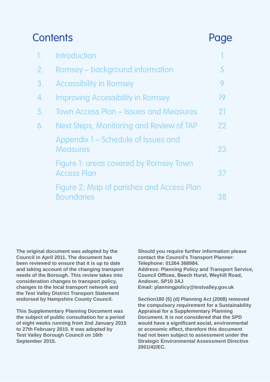### Contents Page

|    | <b>Introduction</b>                                            |    |
|----|----------------------------------------------------------------|----|
| 2. | Romsey – background information                                | 5  |
| 3. | <b>Accessibility in Romsey</b>                                 | 9  |
| 4. | <b>Improving Accessibility in Romsey</b>                       | 19 |
| 5. | <b>Town Access Plan – Issues and Measures</b>                  | 21 |
| 6. | Next Steps, Monitoring and Review of TAP                       | 22 |
|    | Appendix 1 – Schedule of Issues and<br><b>Measures</b>         | 23 |
|    | Figure 1: areas covered by Romsey Town<br><b>Access Plan</b>   | 37 |
|    | Figure 2: Map of parishes and Access Plan<br><b>Boundaries</b> | 38 |

**The original document was adopted by the Council in April 2011. The document has been reviewed to ensure that it is up to date and taking account of the changing transport needs of the Borough. This review takes into consideration changes to transport policy, changes to the local transport network and the Test Valley District Transport Statement endorsed by Hampshire County Council.**

**This Supplementary Planning Document was the subject of public consultation for a period of eight weeks running from 2nd January 2015 to 27th February 2015. It was adopted by Test Valley Borough Council on 16th September 2015.**

**Should you require further information please contact the Council's Transport Planner: Telephone: 01264 368984.** 

**Address: Planning Policy and Transport Service, Council Offices, Beech Hurst, Weyhill Road, Andover, SP10 3AJ Email: planningpolicy@testvalley.gov.uk**

**Section180 (5) (d) Planning Act (2008) removed the compulsory requirement for a Sustainability Appraisal for a Supplementary Planning Document. It is not considered that the SPD z** would have a significant social, environmental **or economic effect, therefore this document had not been subject to assessment under the Strategic Environmental Assessment Directive 2001/42/EC.**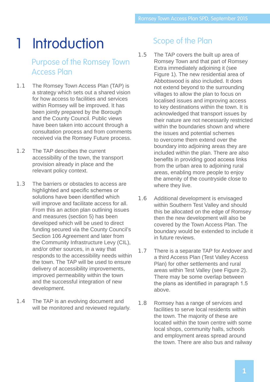## 1 Introduction

#### Purpose of the Romsey Town Access Plan

- 1.1 The Romsey Town Access Plan (TAP) is a strategy which sets out a shared vision for how access to facilities and services within Romsey will be improved. It has been jointly prepared by the Borough and the County Council. Public views have been taken into account through a consultation process and from comments received via the Romsey Future process.
- 1.2 The TAP describes the current accessibility of the town, the transport provision already in place and the relevant policy context.
- 1.3 The barriers or obstacles to access are highlighted and specific schemes or solutions have been identified which will improve and facilitate access for all. From this an action plan outlining issues and measures (section 5) has been developed which will be used to direct funding secured via the County Council's Section 106 Agreement and later from the Community Infrastructure Levy (CIL), and/or other sources, in a way that responds to the accessibility needs within the town. The TAP will be used to ensure delivery of accessibility improvements, improved permeability within the town and the successful integration of new development.
- 1.4 The TAP is an evolving document and will be monitored and reviewed regularly.

#### Scope of the Plan

- 1.5 The TAP covers the built up area of Romsey Town and that part of Romsey Extra immediately adjoining it (see Figure 1). The new residential area of Abbotswood is also included. It does not extend beyond to the surrounding villages to allow the plan to focus on localised issues and improving access to key destinations within the town. It is acknowledged that transport issues by their nature are not necessarily restricted within the boundaries shown and where the issues and potential schemes to overcome them extend over the boundary into adjoining areas they are included within the plan. There are also benefits in providing good access links from the urban area to adjoining rural areas, enabling more people to enjoy the amenity of the countryside close to where they live.
- 1.6 Additional development is envisaged within Southern Test Valley and should this be allocated on the edge of Romsey then the new development will also be covered by the Town Access Plan. The boundary would be extended to include it in future reviews.
- 1.7 There is a separate TAP for Andover and a third Access Plan (Test Valley Access Plan) for other settlements and rural areas within Test Valley (see Figure 2). There may be some overlap between the plans as identified in paragraph 1.5 above.
- 1.8 Romsey has a range of services and facilities to serve local residents within the town. The majority of these are located within the town centre with some local shops, community halls, schools and employment areas spread around the town. There are also bus and railway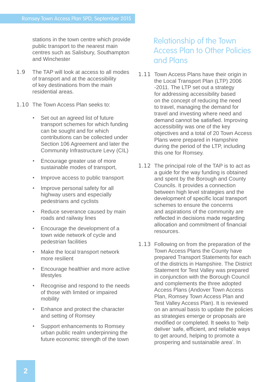stations in the town centre which provide public transport to the nearest main centres such as Salisbury, Southampton and Winchester

- 1.9 The TAP will look at access to all modes of transport and at the accessibility of key destinations from the main residential areas.
- 1.10 The Town Access Plan seeks to:
	- Set out an agreed list of future transport schemes for which funding can be sought and for which contributions can be collected under Section 106 Agreement and later the Community Infrastructure Levy (CIL)
	- Encourage greater use of more sustainable modes of transport,
	- Improve access to public transport
	- Improve personal safety for all highway users and especially pedestrians and cyclists
	- Reduce severance caused by main roads and railway lines
	- Encourage the development of a town wide network of cycle and pedestrian facilities
	- Make the local transport network more resilient
	- Encourage healthier and more active lifestyles
	- Recognise and respond to the needs of those with limited or impaired mobility
	- Enhance and protect the character and setting of Romsey
	- Support enhancements to Romsey urban public realm underpinning the future economic strength of the town

#### Relationship of the Town Access Plan to Other Policies and Plans

- 1.11 Town Access Plans have their origin in the Local Transport Plan (LTP) 2006 -2011. The LTP set out a strategy for addressing accessibility based on the concept of reducing the need to travel, managing the demand for travel and investing where need and demand cannot be satisfied. Improving accessibility was one of the key objectives and a total of 20 Town Access Plans were prepared in Hampshire during the period of the LTP, including this one for Romsey.
- 1.12 The principal role of the TAP is to act as a guide for the way funding is obtained and spent by the Borough and County Councils. It provides a connection between high level strategies and the development of specific local transport schemes to ensure the concerns and aspirations of the community are reflected in decisions made regarding allocation and commitment of financial resources.
- 1.13 Following on from the preparation of the Town Access Plans the County have prepared Transport Statements for each of the districts in Hampshire. The District Statement for Test Valley was prepared in conjunction with the Borough Council and complements the three adopted Access Plans (Andover Town Access Plan, Romsey Town Access Plan and Test Valley Access Plan). It is reviewed on an annual basis to update the policies as strategies emerge or proposals are modified or completed. It seeks to 'help deliver 'safe, efficient, and reliable ways to get around, helping to promote a prospering and sustainable area'. In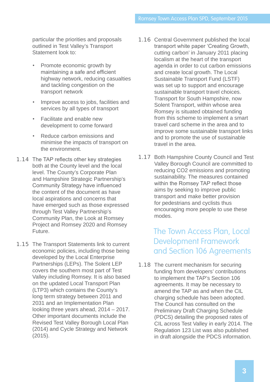particular the priorities and proposals outlined in Test Valley's Transport Statement look to:

- Promote economic growth by maintaining a safe and efficient highway network, reducing casualties and tackling congestion on the transport network
- Improve access to jobs, facilities and services by all types of transport
- Facilitate and enable new development to come forward
- Reduce carbon emissions and minimise the impacts of transport on the environment.
- 1.14 The TAP reflects other key strategies both at the County level and the local level. The County's Corporate Plan and Hampshire Strategic Partnership's Community Strategy have influenced the content of the document as have local aspirations and concerns that have emerged such as those expressed through Test Valley Partnership's Community Plan, the Look at Romsey Project and Romsey 2020 and Romsey Future.
- 1.15 The Transport Statements link to current economic policies, including those being developed by the Local Enterprise Partnerships (LEPs). The Solent LEP covers the southern most part of Test Valley including Romsey. It is also based on the updated Local Transport Plan (LTP3) which contains the County's long term strategy between 2011 and 2031 and an Implementation Plan looking three years ahead, 2014 – 2017. Other important documents include the Revised Test Valley Borough Local Plan (2014) and Cycle Strategy and Network (2015).
- 1.16 Central Government published the local transport white paper 'Creating Growth, cutting carbon' in January 2011 placing localism at the heart of the transport agenda in order to cut carbon emissions and create local growth. The Local Sustainable Transport Fund (LSTF) was set up to support and encourage sustainable transport travel choices. Transport for South Hampshire, now Solent Transport, within whose area Romsey is situated obtained funding from this scheme to implement a smart travel card scheme in the area and to improve some sustainable transport links and to promote the use of sustainable travel in the area.
- 1.17 Both Hampshire County Council and Test Valley Borough Council are committed to reducing CO2 emissions and promoting sustainability. The measures contained within the Romsey TAP reflect those aims by seeking to improve public transport and make better provision for pedestrians and cyclists thus encouraging more people to use these modes.

#### The Town Access Plan, Local Development Framework and Section 106 Agreements

1.18 The current mechanism for securing funding from developers' contributions to implement the TAP's Section 106 agreements. It may be necessary to amend the TAP as and when the CIL charging schedule has been adopted. The Council has consulted on the Preliminary Draft Charging Schedule (PDCS) detailing the proposed rates of CIL across Test Valley in early 2014. The Regulation 123 List was also published in draft alongside the PDCS information.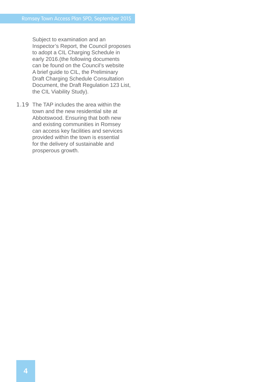Subject to examination and an Inspector's Report, the Council proposes to adopt a CIL Charging Schedule in early 2016.(the following documents can be found on the Council's website A brief guide to CIL, the Preliminary Draft Charging Schedule Consultation Document, the Draft Regulation 123 List, the CIL Viability Study).

1.19 The TAP includes the area within the town and the new residential site at Abbotswood. Ensuring that both new and existing communities in Romsey can access key facilities and services provided within the town is essential for the delivery of sustainable and prosperous growth.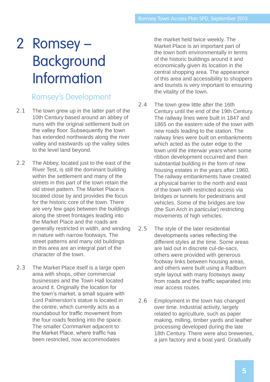## 2 Romsey – Background Information

#### Romsey's Development

- 2.1 The town grew up in the latter part of the 10th Century based around an abbey of nuns with the original settlement built on the valley floor. Subsequently the town has extended northwards along the river valley and eastwards up the valley sides to the level land beyond.
- 2.2 The Abbey, located just to the east of the River Test, is still the dominant building within the settlement and many of the streets in this part of the town retain the old street pattern. The Market Place is located close by and provides the focus for the historic core of the town. There are very few gaps between the buildings along the street frontages leading into the Market Place and the roads are generally restricted in width, and winding in nature with narrow footways. The street patterns and many old buildings in this area are an integral part of the character of the town.
- 2.3 The Market Place itself is a large open area with shops, other commercial businesses and the Town Hall located around it. Originally the location for the town's market, a small square with Lord Palmerston's statue is located in the centre, which currently acts as a roundabout for traffic movement from the four roads feeding into the space. The smaller Cornmarket adjacent to the Market Place, where traffic has been restricted, now accommodates

the market held twice weekly. The Market Place is an important part of the town both environmentally in terms of the historic buildings around it and economically given its location in the central shopping area. The appearance of this area and accessibility to shoppers and tourists is very important to ensuring the vitality of the town.

- 2.4 The town grew little after the 16th Century until the end of the 19th Century. The railway lines were built in 1847 and 1865 on the eastern side of the town with new roads leading to the station. The railway lines were built on embankments which acted as the outer edge to the town until the interwar years when some ribbon development occurred and then substantial building in the form of new housing estates in the years after 1960. The railway embankments have created a physical barrier to the north and east of the town with restricted access via bridges or tunnels for pedestrians and vehicles. Some of the bridges are low (the Sun Arch in particular) restricting movements of high vehicles.
- 2.5 The style of the later residential developments varies reflecting the different styles at the time. Some areas are laid out in discrete cul-de-sacs, others were provided with generous footway links between housing areas, and others were built using a Radburn style layout with many footways away from roads and the traffic separated into rear access routes.
- 2.6 Employment in the town has changed over time. Industrial activity, largely related to agriculture, such as paper making, milling, timber yards and leather processing developed during the late 18th Century. There were also breweries, a jam factory and a boat yard. Gradually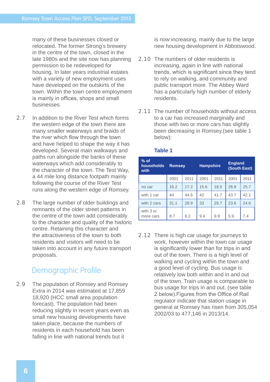many of these businesses closed or relocated. The former Strong's brewery in the centre of the town, closed in the late 1980s and the site now has planning permission to be redeveloped for housing. In later years industrial estates with a variety of new employment uses have developed on the outskirts of the town. Within the town centre employment is mainly in offices, shops and small businesses.

- 2.7 In addition to the River Test which forms the western edge of the town there are many smaller waterways and braids of the river which flow through the town and have helped to shape the way it has developed. Several main walkways and paths run alongside the banks of these waterways which add considerably to the character of the town. The Test Way, a 44 mile long distance footpath mainly following the course of the River Test runs along the western edge of Romsey.
- 2.8 The large number of older buildings and remnants of the older street patterns in the centre of the town add considerably to the character and quality of the historic centre. Retaining this character and the attractiveness of the town to both residents and visitors will need to be taken into account in any future transport proposals.

#### Demographic Profile

2.9 The population of Romsey and Romsey Extra in 2014 was estimated at 17,859 18,920 (HCC small area population forecast). The population had been reducing slightly in recent years even as small new housing developments have taken place, because the numbers of residents in each household has been falling in line with national trends but it

is now increasing, mainly due to the large new housing development in Abbotswood.

- 2.10 The numbers of older residents is increasing, again in line with national trends, which is significant since they tend to rely on walking, and community and public transport more. The Abbey Ward has a particularly high number of elderly residents.
- 2.11 The number of households without access to a car has increased marginally and those with two or more cars has slightly been decreasing in Romsey.(see table 1 below):

| $%$ of<br>households<br>with | <b>Romsey</b> |      | <b>Hampshire</b> |      | <b>England</b><br>(South East) |      |
|------------------------------|---------------|------|------------------|------|--------------------------------|------|
|                              | 2001          | 2011 | 2001             | 2011 | 2001                           | 2011 |
| no car                       | 16.2          | 17.2 | 15.6             | 18.5 | 26.8                           | 25.7 |
| with 1 car                   | 44            | 44.6 | 42               | 41.7 | 43.7                           | 42.1 |
| with 2 cars                  | 31.1          | 29.9 | 33               | 29.7 | 23.6                           | 24.6 |
| with 3 or<br>more cars       | 8.7           | 8.2  | 9.4              | 9.9  | 5.9                            | 7.4  |

#### **Table 1**

2.12 There is high car usage for journeys to work, however within the town car usage is significantly lower than for trips in and out of the town. There is a high level of walking and cycling within the town and a good level of cycling. Bus usage is relatively low both within and in and out of the town. Train usage is comparable to bus usage for trips in and out. (see table 2 below). Figures from the Office of Rail regulator indicate that station usage in general at Romsey has risen from 305,054 2002/03 to 477,146 in 2013/14.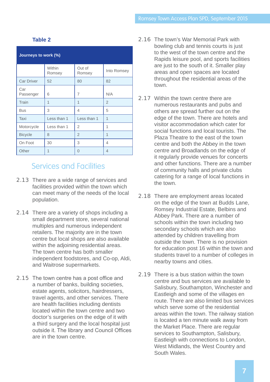#### **Table 2**

| Journeys to work (%) |                  |                  |                |  |  |
|----------------------|------------------|------------------|----------------|--|--|
|                      | Within<br>Romsey | Out of<br>Romsey | Into Romsey    |  |  |
| <b>Car Driver</b>    | 52               | 80               | 82             |  |  |
| Car<br>Passenger     | 6                | 7                | N/A            |  |  |
| Train                | 1                | 1                | $\overline{2}$ |  |  |
| <b>Bus</b>           | 3                | 4                | 5              |  |  |
| Taxi                 | Less than 1      | Less than 1      | 1              |  |  |
| Motorcycle           | Less than 1      | $\overline{2}$   | 1              |  |  |
| <b>Bicycle</b>       | 8                | $\overline{2}$   | 1              |  |  |
| On Foot              | 30               | 3                | 4              |  |  |
| Other                | 1                | $\Omega$         | 4              |  |  |

#### Services and Facilities

- 2.13 There are a wide range of services and facilities provided within the town which can meet many of the needs of the local population.
- 2.14 There are a variety of shops including a small department store, several national multiples and numerous independent retailers. The majority are in the town centre but local shops are also available within the adjoining residential areas. The town centre has both smaller independent foodstores, and Co-op, Aldi, and Waitrose supermarkets.
- 2.15 The town centre has a post office and a number of banks, building societies, estate agents, solicitors, hairdressers, travel agents, and other services. There are health facilities including dentists located within the town centre and two doctor's surgeries on the edge of it with a third surgery and the local hospital just outside it. The library and Council Offices are in the town centre.
- 2.16 The town's War Memorial Park with bowling club and tennis courts is just to the west of the town centre and the Rapids leisure pool, and sports facilities are just to the south of it. Smaller play areas and open spaces are located throughout the residential areas of the town.
- 2.17 Within the town centre there are numerous restaurants and pubs and others are spread further out on the edge of the town. There are hotels and visitor accommodation which cater for social functions and local tourists. The Plaza Theatre to the east of the town centre and both the Abbey in the town centre and Broadlands on the edge of it regularly provide venues for concerts and other functions. There are a number of community halls and private clubs catering for a range of local functions in the town.
- 2.18 There are employment areas located on the edge of the town at Budds Lane, Romsey Industrial Estate, Belbins and Abbey Park. There are a number of schools within the town including two secondary schools which are also attended by children travelling from outside the town. There is no provision for education post 16 within the town and students travel to a number of colleges in nearby towns and cities.
- 2.19 There is a bus station within the town centre and bus services are available to Salisbury, Southampton, Winchester and Eastleigh and some of the villages en route. There are also limited bus services which serve some of the residential areas within the town. The railway station is located a ten minute walk away from the Market Place. There are regular services to Southampton, Salisbury, Eastleigh with connections to London, West Midlands, the West Country and South Wales.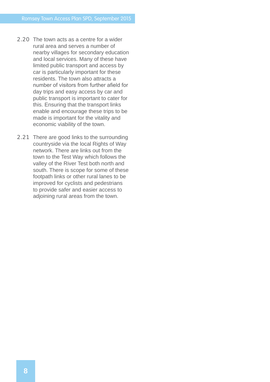- 2.20 The town acts as a centre for a wider rural area and serves a number of nearby villages for secondary education and local services. Many of these have limited public transport and access by car is particularly important for these residents. The town also attracts a number of visitors from further afield for day trips and easy access by car and public transport is important to cater for this. Ensuring that the transport links enable and encourage these trips to be made is important for the vitality and economic viability of the town.
- 2.21 There are good links to the surrounding countryside via the local Rights of Way network. There are links out from the town to the Test Way which follows the valley of the River Test both north and south. There is scope for some of these footpath links or other rural lanes to be improved for cyclists and pedestrians to provide safer and easier access to adjoining rural areas from the town.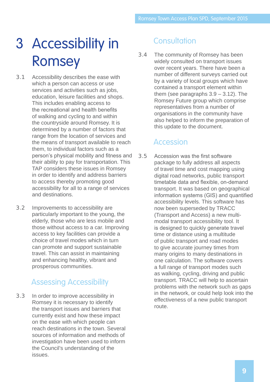## 3 Accessibility in Romsey

- 3.1 Accessibility describes the ease with which a person can access or use services and activities such as jobs, education, leisure facilities and shops. This includes enabling access to the recreational and health benefits of walking and cycling to and within the countryside around Romsey. It is determined by a number of factors that range from the location of services and the means of transport available to reach them, to individual factors such as a person's physical mobility and fitness and their ability to pay for transportation. This TAP considers these issues in Romsey in order to identify and address barriers to access thereby promoting good accessibility for all to a range of services and destinations.
- 3.2 Improvements to accessibility are particularly important to the young, the elderly, those who are less mobile and those without access to a car. Improving access to key facilities can provide a choice of travel modes which in turn can promote and support sustainable travel. This can assist in maintaining and enhancing healthy, vibrant and prosperous communities.

#### Assessing Accessibility

3.3 In order to improve accessibility in Romsey it is necessary to identify the transport issues and barriers that currently exist and how these impact on the ease with which people can reach destinations in the town. Several sources of information and methods of investigation have been used to inform the Council's understanding of the issues.

#### **Consultation**

3.4 The community of Romsey has been widely consulted on transport issues over recent years. There have been a number of different surveys carried out by a variety of local groups which have contained a transport element within them (see paragraphs  $3.9 - 3.12$ ). The Romsey Future group which comprise representatives from a number of organisations in the community have also helped to inform the preparation of this update to the document.

#### Accession

3.5 Accession was the first software package to fully address all aspects of travel time and cost mapping using digital road networks, public transport timetable data and flexible, on-demand transport. It was based on geographical information systems (GIS) and quantified accessibility levels. This software has now been superseded by TRACC (Transport and Access) a new multimodal transport accessibility tool. It is designed to quickly generate travel time or distance using a multitude of public transport and road modes to give accurate journey times from many origins to many destinations in one calculation. The software covers a full range of transport modes such as walking, cycling, driving and public transport. TRACC will help to ascertain problems with the network such as gaps in the network, or could help look into the effectiveness of a new public transport route.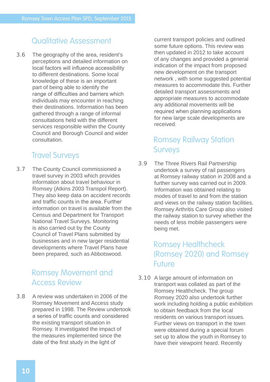#### Qualitative Assessment

3.6 The geography of the area, resident's perceptions and detailed information on local factors will influence accessibility to different destinations. Some local knowledge of these is an important part of being able to identify the range of difficulties and barriers which individuals may encounter in reaching their destinations. Information has been gathered through a range of informal consultations held with the different services responsible within the County Council and Borough Council and wider consultation.

#### Travel Surveys

3.7 The County Council commissioned a travel survey in 2003 which provides information about travel behaviour in Romsey (Atkins 2003 Transpol Report). They also keep data on accident records and traffic counts in the area. Further information on travel is available from the Census and Department for Transport National Travel Surveys. Monitoring is also carried out by the County Council of Travel Plans submitted by businesses and in new larger residential developments where Travel Plans have been prepared, such as Abbotswood.

#### Romsey Movement and Access Review

3.8 A review was undertaken in 2006 of the Romsey Movement and Access study prepared in 1998. The Review undertook a series of traffic counts and considered the existing transport situation in Romsey. It investigated the impact of the measures implemented since the date of the first study in the light of

current transport policies and outlined some future options. This review was then updated in 2012 to take account of any changes and provided a general indication of the impact from proposed new development on the transport network , with some suggested potential measures to accommodate this. Further detailed transport assessments and appropriate measures to accommodate any additional movements will be required when planning applications for new large scale developments are received.

#### Romsey Railway Station Surveys

3.9 The Three Rivers Rail Partnership undertook a survey of rail passengers at Romsey railway station in 2008 and a further survey was carried out in 2009. Information was obtained relating to modes of travel to and from the station and views on the railway station facilities. Romsey Arthritis Care Group also visited the railway station to survey whether the needs of less mobile passengers were being met.

#### Romsey Healthcheck (Romsey 2020) and Romsey Future

3.10 A large amount of information on transport was collated as part of the Romsey Healthcheck. The group Romsey 2020 also undertook further work including holding a public exhibition to obtain feedback from the local residents on various transport issues. Further views on transport in the town were obtained during a special forum set up to allow the youth in Romsey to have their viewpoint heard. Recently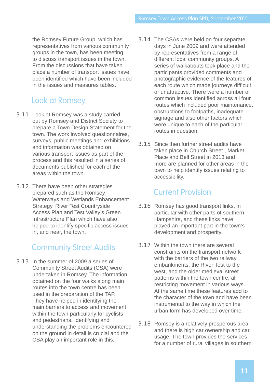the Romsey Future Group, which has representatives from various community groups in the town, has been meeting to discuss transport issues in the town. From the discussions that have taken place a number of transport issues have been identified which have been included in the issues and measures tables.

#### Look at Romsey

- 3.11 Look at Romsey was a study carried out by Romsey and District Society to prepare a Town Design Statement for the town. The work involved questionnaires, surveys, public meetings and exhibitions and information was obtained on various transport issues as part of the process and this resulted in a series of documents published for each of the areas within the town.
- 3.12 There have been other strategies prepared such as the Romsey Waterways and Wetlands Enhancement Strategy, River Test Countryside Access Plan and Test Valley's Green Infrastructure Plan which have also helped to identify specific access issues in, and near, the town.

#### Community Street Audits

3.13 In the summer of 2009 a series of Community Street Audits (CSA) were undertaken in Romsey. The information obtained on the four walks along main routes into the town centre has been used in the preparation of the TAP. They have helped in identifying the main barriers to access and movement within the town particularly for cyclists and pedestrians. Identifying and understanding the problems encountered on the ground in detail is crucial and the CSA play an important role in this.

- 3.14 The CSAs were held on four separate days in June 2009 and were attended by representatives from a range of different local community groups. A series of walkabouts took place and the participants provided comments and photographic evidence of the features of each route which made journeys difficult or unattractive. There were a number of common issues identified across all four routes which included poor maintenance, obstructions to footpaths, inadequate signage and also other factors which were unique to each of the particular routes in question.
- 3.15 Since then further street audits have taken place in Church Street , Market Place and Bell Street in 2013 and more are planned for other areas in the town to help identify issues relating to accessibility.

#### Current Provision

- 3.16 Romsey has good transport links, in particular with other parts of southern Hampshire, and these links have played an important part in the town's development and prosperity.
- 3.17 Within the town there are several constraints on the transport network with the barriers of the two railway embankments, the River Test to the west, and the older medieval street patterns within the town centre, all restricting movement in various ways. At the same time these features add to the character of the town and have been instrumental to the way in which the urban form has developed over time.
- 3.18 Romsey is a relatively prosperous area and there is high car ownership and car usage. The town provides the services for a number of rural villages in southern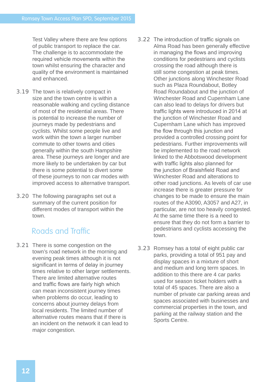Test Valley where there are few options of public transport to replace the car. The challenge is to accommodate the required vehicle movements within the town whilst ensuring the character and quality of the environment is maintained and enhanced.

- 3.19 The town is relatively compact in size and the town centre is within a reasonable walking and cycling distance of most of the residential areas. There is potential to increase the number of journeys made by pedestrians and cyclists. Whilst some people live and work within the town a larger number commute to other towns and cities generally within the south Hampshire area. These journeys are longer and are more likely to be undertaken by car but there is some potential to divert some of these journeys to non car modes with improved access to alternative transport.
- 3.20 The following paragraphs set out a summary of the current position for different modes of transport within the town.

#### Roads and Traffic

- 3.21 There is some congestion on the town's road network in the morning and evening peak times although it is not significant in terms of delay in journey times relative to other larger settlements. There are limited alternative routes and traffic flows are fairly high which can mean inconsistent journey times when problems do occur, leading to concerns about journey delays from local residents. The limited number of alternative routes means that if there is an incident on the network it can lead to major congestion.
- 3.22 The introduction of traffic signals on Alma Road has been generally effective in managing the flows and improving conditions for pedestrians and cyclists crossing the road although there is still some congestion at peak times. Other junctions along Winchester Road such as Plaza Roundabout, Botley Road Roundabout and the junction of Winchester Road and Cupernham Lane can also lead to delays for drivers but traffic lights were introduced in 2014 at the junction of Winchester Road and Cupernham Lane which has improved the flow through this junction and provided a controlled crossing point for pedestrians. Further improvements will be implemented to the road network linked to the Abbotswood development with traffic lights also planned for the junction of Braishfield Road and Winchester Road and alterations to other road junctions. As levels of car use increase there is greater pressure for changes to be made to ensure the main routes of the A3090, A3057 and A27, in particular, are not too heavily congested. At the same time there is a need to ensure that they do not form a barrier to pedestrians and cyclists accessing the town.
- 3.23 Romsey has a total of eight public car parks, providing a total of 951 pay and display spaces in a mixture of short and medium and long term spaces. In addition to this there are 4 car parks used for season ticket holders with a total of 45 spaces. There are also a number of private car parking areas and spaces associated with businesses and commercial properties in the town, and parking at the railway station and the Sports Centre.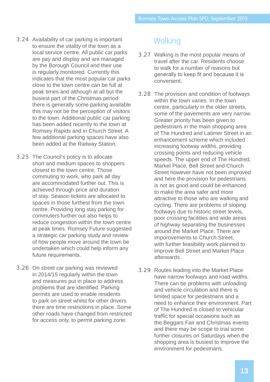- 3.24 Availability of car parking is important to ensure the vitality of the town as a local service centre. All public car parks are pay and display and are managed by the Borough Council and their use is regularly monitored. Currently this indicates that the most popular car parks close to the town centre can be full at peak times and although at all but the busiest part of the Christmas period there is generally some parking available this may not be the perception of visitors to the town. Additional public car parking has been added recently to the town at Romsey Rapids and in Church Street. A few additional parking spaces have also been added at the Railway Station.
- 3.25 The Council's policy is to allocate short and medium spaces to shoppers closest to the town centre. Those commuting to work, who park all day are accommodated further out. This is achieved through price and duration of stay. Season tickets are allocated to spaces in those furthest from the town centre. Providing long stay parking for commuters further out also helps to reduce congestion within the town centre at peak times. Romsey Future suggested a strategic car parking study and review of how people move around the town be undertaken which could help inform any future requirements.
- 3.26 On street car parking was reviewed in 2014/15 regularly within the town and measures put in place to address problems that are identified. Parking permits are used to enable residents to park on street whilst for other drivers there are time restrictions in place. Some other roads have changed from restricted for access only, to permit parking zone.

#### **Walking**

- 3.27 Walking is the most popular means of travel after the car. Residents choose to walk for a number of reasons but generally to keep fit and because it is convenient.
- 3.28 The provision and condition of footways within the town varies. In the town centre, particularly in the older streets, some of the pavements are very narrow. Greater priority has been given to pedestrians in the main shopping area of The Hundred and Latimer Street in an enhancement scheme which included increasing footway widths, providing crossing points and reducing vehicle speeds. The upper end of The Hundred, Market Place, Bell Street and Church Street however have not been improved and here the provision for pedestrians is not as good and could be enhanced to make the area safer and more attractive to those who are walking and cycling. There are problems of sloping footways due to historic street levels, poor crossing facilities and wide areas of highway separating the businesses around the Market Place. There are imporovements to Church Street, with further feasibility work planned to improve Bell Street and Market Place afterwards.
- 3.29 Routes leading into the Market Place have narrow footways and road widths. There can be problems with unloading and vehicle circulation and there is limited space for pedestrians and a need to enhance their environment. Part of The Hundred is closed to vehicular traffic for special occasions such as the Beggars Fair and Christmas events and there may be scope to trial some further closures on Saturdays when the shopping area is busiest to improve the environment for pedestrians.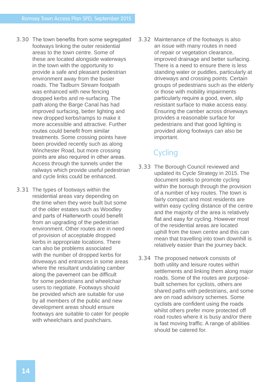- 3.30 The town benefits from some segregated footways linking the outer residential areas to the town centre. Some of these are located alongside waterways in the town with the opportunity to provide a safe and pleasant pedestrian environment away from the busier roads. The Tadburn Stream footpath was enhanced with new fencing dropped kerbs and re-surfacing. The path along the Barge Canal has had improved surfacing, better lighting and new dropped kerbs/ramps to make it more accessible and attractive. Further routes could benefit from similar treatments. Some crossing points have been provided recently such as along Winchester Road, but more crossing points are also required in other areas. Access through the tunnels under the railways which provide useful pedestrian and cycle links could be enhanced.
- 3.31 The types of footways within the residential areas vary depending on the time when they were built but some of the older estates such as Woodley and parts of Halterworth could benefit from an upgrading of the pedestrian environment. Other routes are in need of provision of acceptable dropped kerbs in appropriate locations. There can also be problems associated with the number of dropped kerbs for driveways and entrances in some areas where the resultant undulating camber along the pavement can be difficult for some pedestrians and wheelchair users to negotiate. Footways should be provided which are suitable for use by all members of the public and new development areas should ensure footways are suitable to cater for people with wheelchairs and pushchairs.

3.32 Maintenance of the footways is also an issue with many routes in need of repair or vegetation clearance, improved drainage and better surfacing. There is a need to ensure there is less standing water or puddles, particularly at driveways and crossing points. Certain groups of pedestrians such as the elderly or those with mobility impairments particularly require a good, even, slip resistant surface to make access easy. Ensuring the camber across driveways provides a reasonable surface for pedestrians and that good lighting is provided along footways can also be important.

### Cycling

- 3.33 The Borough Council reviewed and updated its Cycle Strategy in 2015. The document seeks to promote cycling within the borough through the provision of a number of key routes. The town is fairly compact and most residents are within easy cycling distance of the centre and the majority of the area is relatively flat and easy for cycling. However most of the residential areas are located uphill from the town centre and this can mean that travelling into town downhill is relatively easier than the journey back.
- 3.34 The proposed network consists of both utility and leisure routes within settlements and linking them along major roads. Some of the routes are purposebuilt schemes for cyclists, others are shared paths with pedestrians, and some are on road advisory schemes. Some cyclists are confident using the roads whilst others prefer more protected off road routes where it is busy and/or there is fast moving traffic. A range of abilities should be catered for.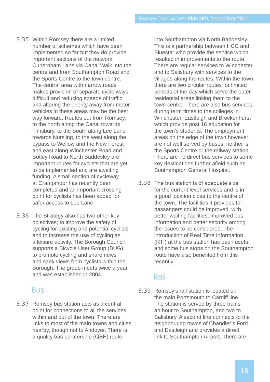- 3.35 Within Romsey there are a limited number of schemes which have been implemented so far but they do provide important sections of the network; Cupernham Lane via Canal Walk into the centre and from Southampton Road and the Sports Centre to the town centre. The central area with narrow roads makes provision of separate cycle ways difficult and reducing speeds of traffic and altering the priority away from motor vehicles in these areas may be the best way forward. Routes out from Romsey; to the north along the Canal towards Timsbury, to the South along Lee Lane towards Nursling, to the west along the bypass to Wellow and the New Forest and east along Winchester Road and Botley Road to North Baddesley are important routes for cyclists that are yet to be implemented and are awaiting funding. A small section of cycleway at Crampmoor has recently been completed and an important crossing point for cyclists has been added for safer access to Lee Lane.
- 3.36 The Strategy also has two other key objectives; to improve the safety of cycling for existing and potential cyclists and to increase the use of cycling as a leisure activity. The Borough Council supports a Bicycle User Group (BUG) to promote cycling and share news and seek views from cyclists within the Borough. The group meets twice a year and was established in 2004.

#### Bus

3.37 Romsey bus station acts as a central point for connections to all the services within and out of the town. There are links to most of the main towns and cities nearby, though not to Andover. There is a quality bus partnership (QBP) route

into Southampton via North Baddesley. This is a partnership between HCC and Bluestar who provide the service which resulted in improvements to the route. There are regular services to Winchester and to Salisbury with services to the villages along the routes. Within the town there are two circular routes for limited periods of the day which serve the outer residential areas linking them to the town centre. There are also bus services during term times to the colleges in Winchester, Eastleigh and Brockenhurst which provide post 16 education for the town's students. The employment areas on the edge of the town however are not well served by buses, neither is the Sports Centre or the railway station. There are no direct bus services to some key destinations further afield such as Southampton General Hospital.

3.38 The bus station is of adequate size for the current level services and is in a good location close to the centre of the town. The facilities it provides for passengers could be improved, with better waiting facilities, improved bus information and better security among the issues to be considered. The introduction of Real Time Information (RTI) at the bus station has been useful and some bus stops on the Southampton route have also benefited from this recently.

#### Rail

3.39 Romsey's rail station is located on the main Portsmouth to Cardiff line. The station is served by three trains an hour to Southampton, and two to Salisbury. A second line connects to the neighbouring towns of Chandler's Ford and Eastleigh and provides a direct link to Southampton Airport. There are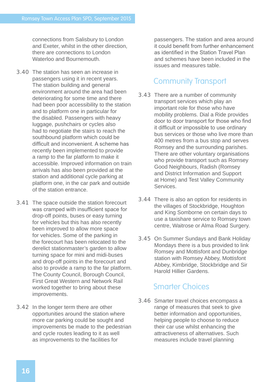connections from Salisbury to London and Exeter, whilst in the other direction, there are connections to London Waterloo and Bournemouth

- 3.40 The station has seen an increase in passengers using it in recent years. The station building and general environment around the area had been deteriorating for some time and there had been poor accessibility to the station and to platform one in particular for the disabled. Passengers with heavy luggage, pushchairs or cycles also had to negotiate the stairs to reach the southbound platform which could be difficult and inconvenient. A scheme has recently been implemented to provide a ramp to the far platform to make it accessible. Improved information on train arrivals has also been provided at the station and additional cycle parking at platform one, in the car park and outside of the station entrance.
- 3.41 The space outside the station forecourt was cramped with insufficient space for drop-off points, buses or easy turning for vehicles but this has also recently been improved to allow more space for vehicles. Some of the parking in the forecourt has been relocated to the derelict stationmaster's garden to allow turning space for mini and midi-buses and drop-off points in the forecourt and also to provide a ramp to the far platform. The County Council, Borough Council, First Great Western and Network Rail worked together to bring about these improvements.
- 3.42 In the longer term there are other opportunities around the station where more car parking could be sought and improvements be made to the pedestrian and cycle routes leading to it as well as improvements to the facilities for

passengers. The station and area around it could benefit from further enhancement as identified in the Station Travel Plan and schemes have been included in the issues and measures table.

#### Community Transport

- 3.43 There are a number of community transport services which play an important role for those who have mobility problems. Dial a Ride provides door to door transport for those who find it difficult or impossible to use ordinary bus services or those who live more than 400 metres from a bus stop and serves Romsey and the surrounding parishes. There are other voluntary organisations who provide transport such as Romsey Good Neighbours, Radish (Romsey and District Information and Support at Home) and Test Valley Community **Services**
- 3.44 There is also an option for residents in the villages of Stockbridge, Houghton and King Somborne on certain days to use a taxishare service to Romsey town centre, Waitrose or Alma Road Surgery.
- 3.45 On Summer Sundays and Bank Holiday Mondays there is a bus provided to link Romsey and Mottisfont and Dunbridge station with Romsey Abbey, Mottisfont Abbey, Kimbridge, Stockbridge and Sir Harold Hillier Gardens.

#### Smarter Choices

3.46 Smarter travel choices encompass a range of measures that seek to give better information and opportunities, helping people to choose to reduce their car use whilst enhancing the attractiveness of alternatives. Such measures include travel planning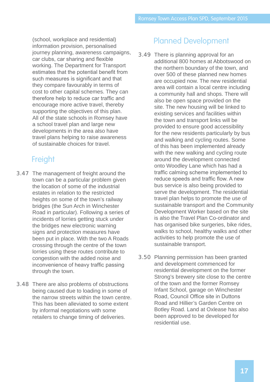(school, workplace and residential) information provision, personalised journey planning, awareness campaigns, car clubs, car sharing and flexible working. The Department for Transport estimates that the potential benefit from such measures is significant and that they compare favourably in terms of cost to other capital schemes. They can therefore help to reduce car traffic and encourage more active travel, thereby supporting the objectives of this plan. All of the state schools in Romsey have a school travel plan and large new developments in the area also have travel plans helping to raise awareness of sustainable choices for travel.

### Freight

- 3.47 The management of freight around the town can be a particular problem given the location of some of the industrial estates in relation to the restricted heights on some of the town's railway bridges (the Sun Arch in Winchester Road in particular). Following a series of incidents of lorries getting stuck under the bridges new electronic warning signs and protection measures have been put in place. With the two A Roads crossing through the centre of the town lorries using these routes contribute to congestion with the added noise and inconvenience of heavy traffic passing through the town.
- 3.48 There are also problems of obstructions being caused due to loading in some of the narrow streets within the town centre. This has been alleviated to some extent by informal negotiations with some retailers to change timing of deliveries.

#### Planned Development

- 3.49 There is planning approval for an additional 800 homes at Abbotswood on the northern boundary of the town, and over 500 of these planned new homes are occupied now. The new residential area will contain a local centre including a community hall and shops. There will also be open space provided on the site. The new housing will be linked to existing services and facilities within the town and transport links will be provided to ensure good accessibility for the new residents particularly by bus and walking and cycling routes. Some of this has been implemented already with the new walking and cycling route around the development connected onto Woodley Lane which has had a traffic calming scheme implemented to reduce speeds and traffic flow. A new bus service is also being provided to serve the development. The residential travel plan helps to promote the use of sustainable transport and the Community Development Worker based on the site is also the Travel Plan Co-ordinator and has organised bike surgeries, bike rides, walks to school, healthy walks and other activities to help promote the use of sustainable transport.
- 3.50 Planning permission has been granted and development commenced for residential development on the former Strong's brewery site close to the centre of the town and the former Romsey Infant School, garage on Winchester Road, Council Office site in Duttons Road and Hillier's Garden Centre on Botley Road. Land at Oxlease has also been approved to be developed for residential use.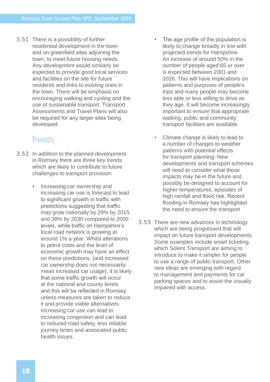3.51 There is a possibility of further residential development in the town and on greenfield sites adjoining the town, to meet future housing needs. Any development would similarly be expected to provide good local services and facilities on the site for future residents and links to existing ones in the town. There will be emphasis on encouraging walking and cycling and the use of sustainable transport. Transport Assessments and Travel Plans will also be required for any larger sites being developed.

#### **Trends**

- 3.52 In addition to the planned development in Romsey there are three key trends which are likely to contribute to future challenges to transport provision:
	- Increasing car ownership and increasing car use is forecast to lead to significant growth in traffic with predictions suggesting that traffic may grow nationally by 29% by 2015 and 38% by 2030 compared to 2000 levels, while traffic on Hampshire's local road network is growing at around 1% a year. Whilst alterations to petrol costs and the level of economic growth may have an effect on these predictions, (and increased car ownership does not necessarily mean increased car usage), it is likely that some traffic growth will occur at the national and county levels and this will be reflected in Romsey unless measures are taken to reduce it and provide viable alternatives. Increasing car use can lead to increasing congestion and can lead to reduced road safety, less reliable journey times and associated public health issues.
- The age profile of the population is likely to change broadly in line with projected trends for Hampshire. An increase of around 50% in the number of people aged 65 or over is expected between 2001 and 2026. This will have implications on patterns and purposes of people's trips and many people may become less able or less willing to drive as they age. It will become increasingly important to ensure that appropriate walking, public and community transport facilities are available.
- Climate change is likely to lead to a number of changes to weather patterns with potential effects for transport planning. New developments and transport schemes will need to consider what these impacts may be in the future and possibly be designed to account for higher temperatures, episodes of high rainfall and flood risk. Recent flooding in Romsey has highlighted the need to ensure the transport
- 3.53 There are new advances in technology which are being progressed that will impact on future transport developments. Some examples include smart ticketing which Solent Transport are aiming to introduce to make it simpler for people to use a range of public transport. Other new ideas are emerging with regard to management and payments for car parking spaces and to assist the visually impaired with access.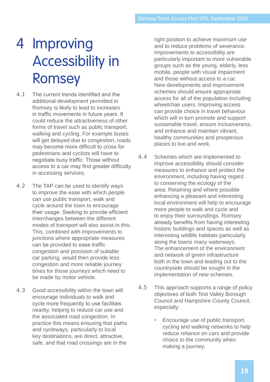## 4 Improving Accessibility in Romsey

- 4.1 The current trends identified and the additional development permitted in Romsey is likely to lead to increases in traffic movements in future years. It could reduce the attractiveness of other forms of travel such as public transport, walking and cycling. For example buses will get delayed due to congestion, roads may become more difficult to cross for pedestrians and cyclists will have to negotiate busy traffic. Those without access to a car may find greater difficulty in accessing services.
- 4.2 The TAP can be used to identify ways to improve the ease with which people can use public transport, walk and cycle around the town to encourage their usage. Seeking to provide efficient interchanges between the different modes of transport will also assist in this. This, combined with improvements to junctions where appropriate measures can be provided to ease traffic congestion and provision of suitable car parking, would then provide less congestion and more reliable journey times for those journeys which need to be made by motor vehicle.
- 4.3 Good accessibility within the town will encourage individuals to walk and cycle more frequently to use facilities nearby, helping to reduce car use and the associated road congestion. In practice this means ensuring that paths and cycleways, particularly to local key destinations, are direct, attractive, safe, and that road crossings are in the

right position to achieve maximum use and to reduce problems of severance. Improvements to accessibility are particularly important to more vulnerable groups such as the young, elderly, less mobile, people with visual impairment and those without access to a car. New developments and improvement schemes should ensure appropriate access for all of the population including wheelchair users. Improving access can provide choice in travel behaviour which will in turn promote and support sustainable travel, ensure inclusiveness, and enhance and maintain vibrant, healthy communities and prosperous places to live and work.

- 4.4 Schemes which are implemented to improve accessibility should consider measures to enhance and protect the environment, including having regard to conserving the ecology of the area. Retaining and where possible enhancing a pleasant and interesting local environment will help to encourage more people to walk and cycle and to enjoy their surroundings. Romsey already benefits from having interesting historic buildings and spaces as well as interesting wildlife habitats particularly along the towns many waterways. The enhancement of the environment and network of green infrastructure both in the town and leading out to the countryside should be sought in the implementation of new schemes.
- 4.5 This approach supports a range of policy objectives of both Test Valley Borough Council and Hampshire County Council, especially:
	- Encourage use of public transport, cycling and walking networks to help reduce reliance on cars and provide choice to the community when making a journey.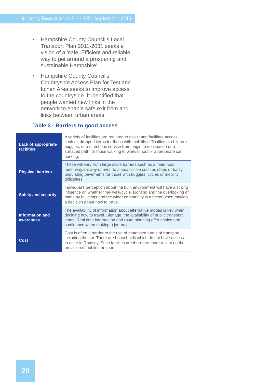- Hampshire County Council's Local Transport Plan 2011-2031 seeks a vision of a 'safe. Efficient and reliable way to get around a prospering and sustainable Hampshire'.
- Hampshire County Council's Countryside Access Plan for Test and Itchen Area seeks to improve access to the countryside. It identified that people wanted new links in the network to enable safe exit from and links between urban areas.

#### **Table 3 - Barriers to good access**

| <b>Lack of appropriate</b><br><b>facilities</b> | A variety of facilities are required to assist and facilitate access,<br>such as dropped kerbs for those with mobility difficulties or children's<br>buggies, or a direct bus service from origin to destination or a<br>surfaced path for those walking to work/school or appropriate car<br>parking. |
|-------------------------------------------------|--------------------------------------------------------------------------------------------------------------------------------------------------------------------------------------------------------------------------------------------------------------------------------------------------------|
| <b>Physical barriers</b>                        | These will vary from large scale barriers such as a main road,<br>motorway, railway or river, to a small scale such as steps or badly<br>undulating pavements for those with buggies, cycles or mobility<br>difficulties.                                                                              |
| <b>Safety and security</b>                      | Individual's perception about the built environment will have a strong<br>influence on whether they walk/cycle. Lighting and the overlooking of<br>paths by buildings and the wider community is a factor when making<br>a decision about how to travel.                                               |
| <b>Information and</b><br>awareness             | The availability of information about alternative modes is key when<br>deciding how to travel. Signage, the availability of public transport<br>times. Real time information and route planning offer choice and<br>confidence when making a journey.                                                  |
| Cost                                            | Cost is often a barrier to the use of motorised forms of transport,<br>including the car. There are households which do not have access<br>to a car in Romsey. Such families are therefore more reliant on the<br>provision of public transport.                                                       |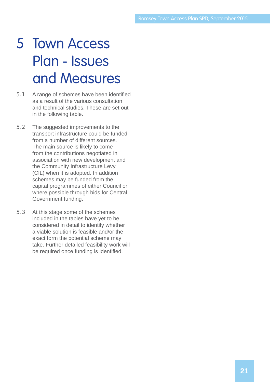### 5 Town Access Plan - Issues and Measures

- 5.1 A range of schemes have been identified as a result of the various consultation and technical studies. These are set out in the following table.
- 5.2 The suggested improvements to the transport infrastructure could be funded from a number of different sources. The main source is likely to come from the contributions negotiated in association with new development and the Community Infrastructure Levy (CIL) when it is adopted. In addition schemes may be funded from the capital programmes of either Council or where possible through bids for Central Government funding.
- 5.3 At this stage some of the schemes included in the tables have yet to be considered in detail to identify whether a viable solution is feasible and/or the exact form the potential scheme may take. Further detailed feasibility work will be required once funding is identified.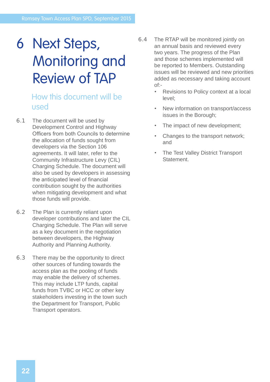### 6 Next Steps, Monitoring and Review of TAP

#### How this document will be used

- 6.1 The document will be used by Development Control and Highway Officers from both Councils to determine the allocation of funds sought from developers via the Section 106 agreements. It will later, refer to the Community Infrastructure Levy (CIL) Charging Schedule. The document will also be used by developers in assessing the anticipated level of financial contribution sought by the authorities when mitigating development and what those funds will provide.
- 6.2 The Plan is currently reliant upon developer contributions and later the CIL Charging Schedule. The Plan will serve as a key document in the negotiation between developers, the Highway Authority and Planning Authority.
- 6.3 There may be the opportunity to direct other sources of funding towards the access plan as the pooling of funds may enable the delivery of schemes. This may include LTP funds, capital funds from TVBC or HCC or other key stakeholders investing in the town such the Department for Transport, Public Transport operators.
- 6.4 The RTAP will be monitored jointly on an annual basis and reviewed every two years. The progress of the Plan and those schemes implemented will be reported to Members. Outstanding issues will be reviewed and new priorities added as necessary and taking account of:-
	- Revisions to Policy context at a local level;
	- New information on transport/access issues in the Borough;
	- The impact of new development;
	- Changes to the transport network; and
	- The Test Valley District Transport Statement.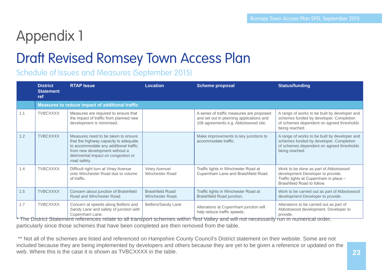## Appendix 1

### Draft Revised Romsey Town Access Plan

Schedule of Issues and Measures (September 2015)

|     | <b>District</b><br><b>Statement</b><br>ref | <b>RTAP Issue</b>                                                                                                                                                                                                   | <b>Location</b>                         | <b>Scheme proposal</b>                                                                                                        | <b>Status/funding</b>                                                                                                                                   |
|-----|--------------------------------------------|---------------------------------------------------------------------------------------------------------------------------------------------------------------------------------------------------------------------|-----------------------------------------|-------------------------------------------------------------------------------------------------------------------------------|---------------------------------------------------------------------------------------------------------------------------------------------------------|
|     |                                            | Measures to reduce impact of additional traffic                                                                                                                                                                     |                                         |                                                                                                                               |                                                                                                                                                         |
| 1.1 | <b>TVBCXXXX</b>                            | Measures are required to ensure that<br>the impact of traffic from planned new<br>development is minimised.                                                                                                         |                                         | A series of traffic measures are proposed<br>and set out in planning applications and<br>106 agreements e.g. Abbotswood site. | A range of works to be built by developer and<br>schemes funded by developer. Completion<br>of schemes dependent on agreed thresholds<br>being reached. |
| 1.2 | <b>TVBCXXXX</b>                            | Measures need to be taken to ensure<br>that the highway capacity is adequate<br>to accommodate any additional traffic<br>from new development without a<br>detrimental impact on congestion or<br>road safety.      |                                         | Make improvements to key junctions to<br>accommodate traffic.                                                                 | A range of works to be built by developer and<br>schemes funded by developer. Completion<br>of schemes dependent on agreed thresholds<br>being reached. |
| 1.4 | <b>TVBCXXXX</b>                            | Difficult right turn at Viney Avenue<br>onto Winchester Road due to volume<br>of traffic.                                                                                                                           | Viney Avenue/<br><b>Winchester Road</b> | Traffic lights in Winchester Road at<br>Cupernham Lane and Braishfield Road.                                                  | Work to be done as part of Abbotswood<br>development Developer to provide.<br>Traffic lights at Cupernham in place -<br>Braishfield Road to follow.     |
| 1.5 | <b>TVBCXXXX</b>                            | Concern about junction of Braishfield<br>Road and Winchester Road.                                                                                                                                                  | Braishfield Road/<br>Winchester Road.   | Traffic lights in Winchester Road at<br>Braishfield Road junction.                                                            | Work to be carried out as part of Abbotswood<br>development Developer to provide.                                                                       |
| 1.7 | <b>TVBCXXXX</b><br>$\bigcap$               | Concern at speeds along Belbins and<br>Sandy Lane and safety of junction with<br>Cupernham Lane.<br>the contract of the contract of the contract of the contract of the contract of the contract of the contract of | Belbins/Sandy Lane                      | Alterations at Cupernham junction will<br>help reduce traffic speeds.<br>しょうしょうしょう こうせいせん 無形 しゅんすいけい しょうこうしゃ せいしょうしょう しょうしょう  | Alterations to be carried out as part of<br>Abbotswood development. Developer to<br>provide.<br>and the contract of the contract of the con-            |

The District Statement references relate to all transport schemes within Test Valley and will not necessarily run in numerical order, particularly since those schemes that have been completed are then removed from the table.

\*\* Not all of the schemes are listed and referenced on Hampshire County Council's District statement on their website. Some are not included because they are being implemented by developers and others because they are yet to be given a reference or updated on the web. Where this is the case it is shown as TVBCXXXX in the table.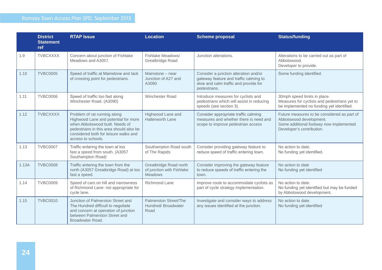|       | <b>District</b><br><b>Statement</b><br>ref | <b>RTAP Issue</b>                                                                                                                                                                                                 | <b>Location</b>                                                | <b>Scheme proposal</b>                                                                                                                   | <b>Status/funding</b>                                                                                                                          |
|-------|--------------------------------------------|-------------------------------------------------------------------------------------------------------------------------------------------------------------------------------------------------------------------|----------------------------------------------------------------|------------------------------------------------------------------------------------------------------------------------------------------|------------------------------------------------------------------------------------------------------------------------------------------------|
| 1.9   | <b>TVBCXXXX</b>                            | Concern about junction of Fishlake<br>Meadows and A3057.                                                                                                                                                          | Fishlake Meadows/<br>Greatbridge Road                          | Junction alterations.                                                                                                                    | Alterations to be carried out as part of<br>Abbotswood.<br>Developer to provide.                                                               |
| 1.10  | <b>TVBC0005</b>                            | Speed of traffic at Mainstone and lack<br>of crossing point for pedestrians.                                                                                                                                      | Mainstone - near<br>Junction of A27 and<br>A3090               | Consider a junction alteration and/or<br>gateway feature and traffic calming to<br>slow and calm traffic and provide for<br>pedestrians. | Some funding identified.                                                                                                                       |
| 1.11  | <b>TVBC0006</b>                            | Speed of traffic too fast along<br>Winchester Road. (A3090)                                                                                                                                                       | Winchester Road                                                | Introduce measures for cyclists and<br>pedestrians which will assist in reducing<br>speeds (see section 3).                              | 30mph speed limits in place.<br>Measures for cyclists and pedestrians yet to<br>be implemented no funding yet identified.                      |
| 1.12  | <b>TVBCXXXX</b>                            | Problem of rat running along<br>Highwood Lane and potential for more<br>when Abbotswood built. Needs of<br>pedestrians in this area should also be<br>considered both for leisure walks and<br>access to schools. | Highwood Lane and<br>Halterworth Lane                          | Consider appropriate traffic calming<br>measures and whether there is need and<br>scope to improve pedestrian access                     | Future measures to be considered as part of<br>Abbotswood development.<br>Some additional footway now implemented<br>Developer's contribution. |
| 1.13  | <b>TVBC0007</b>                            | Traffic entering the town at too<br>fast a speed from south. (A3057<br>Southampton Road)                                                                                                                          | Southampton Road south<br>of The Rapids                        | Consider providing gateway feature to<br>reduce speed of traffic entering town.                                                          | No action to date.<br>No funding yet identified.                                                                                               |
| 1.13A | <b>TVBC0008</b>                            | Traffic entering the town from the<br>north (A3057 Greatbridge Road) at too<br>fast a speed.                                                                                                                      | Greatbridge Road north<br>of junction with Fishlake<br>Meadows | Consider improving the gateway feature<br>to reduce speeds of traffic entering the<br>town.                                              | No action to date<br>No funding yet identified                                                                                                 |
| 1.14  | <b>TVBC0009</b>                            | Speed of cars on hill and narrowness<br>of Richmond Lane- not appropriate for<br>cycle lane.                                                                                                                      | Richmond Lane                                                  | Improve route to accommodate cyclists as<br>part of cycle strategy implementation.                                                       | No action to date.<br>No funding yet identified but may be funded<br>by Abbotswood development.                                                |
| 1.15  | <b>TVBC0010</b>                            | Junction of Palmerston Street and<br>The Hundred difficult to negotiate<br>and concern at operation of junction<br>between Palmerston Street and<br>Broadwater Road.                                              | Palmerston Street/The<br>Hundred/Broadwater<br>Road            | Investigate and consider ways to address<br>any issues identified at the junction.                                                       | No action to date.<br>No funding yet identified                                                                                                |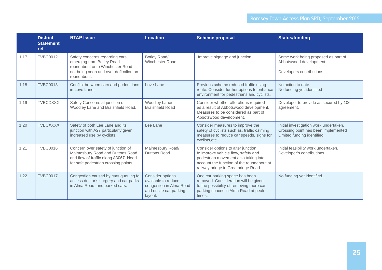|      | <b>District</b><br><b>Statement</b><br>ref | <b>RTAP Issue</b>                                                                                                                                       | <b>Location</b>                                                                                                | <b>Scheme proposal</b>                                                                                                                                                                                | <b>Status/funding</b>                                                                                        |
|------|--------------------------------------------|---------------------------------------------------------------------------------------------------------------------------------------------------------|----------------------------------------------------------------------------------------------------------------|-------------------------------------------------------------------------------------------------------------------------------------------------------------------------------------------------------|--------------------------------------------------------------------------------------------------------------|
| 1.17 | <b>TVBC0012</b>                            | Safety concerns regarding cars<br>emerging from Botley Road<br>roundabout onto Winchester Road<br>not being seen and over deflection on<br>roundabout.  | Botley Road/<br>Winchester Road                                                                                | Improve signage and junction.                                                                                                                                                                         | Some work being proposed as part of<br>Abbotswood development<br>Developers contributions                    |
| 1.18 | <b>TVBC0013</b>                            | Conflict between cars and pedestrians<br>in Love Lane.                                                                                                  | Love Lane                                                                                                      | Previous scheme reduced traffic using<br>route. Consider further options to enhance<br>environment for pedestrians and cyclists.                                                                      | No action to date.<br>No funding yet identified                                                              |
| 1.19 | <b>TVBCXXXX</b>                            | Safety Concerns at junction of<br>Woodley Lane and Braishfield Road.                                                                                    | Woodley Lane/<br><b>Braishfield Road</b>                                                                       | Consider whether alterations required<br>as a result of Abbotswood development.<br>Measures to be considered as part of<br>Abbotswood development.                                                    | Developer to provide as secured by 106<br>agreement.                                                         |
| 1.20 | <b>TVBCXXXX</b>                            | Safety of both Lee Lane and its<br>junction with A27 particularly given<br>increased use by cyclists.                                                   | Lee Lane                                                                                                       | Consider measures to improve the<br>safety of cyclists such as, traffic calming<br>measures to reduce car speeds, signs for<br>cyclists, etc.                                                         | Initial investigation work undertaken.<br>Crossing point has been implemented<br>Limited funding identified. |
| 1.21 | <b>TVBC0016</b>                            | Concern over safety of junction of<br>Malmesbury Road and Duttons Road<br>and flow of traffic along A3057. Need<br>for safe pedestrian crossing points. | Malmesbury Road/<br>Duttons Road                                                                               | Consider options to alter junction<br>to improve vehicle flow, safety and<br>pedestrian movement also taking into<br>account the function of the roundabout at<br>railway bridge in Greatbridge Road. | Initial feasibility work undertaken.<br>Developer's contributions.                                           |
| 1.22 | <b>TVBC0017</b>                            | Congestion caused by cars queuing to<br>access doctor's surgery and car parks<br>in Alma Road, and parked cars.                                         | <b>Consider options</b><br>available to reduce<br>congestion in Alma Road<br>and onsite car parking<br>layout. | One car parking space has been<br>removed. Consideration will be given<br>to the possibility of removing more car<br>parking spaces in Alma Road at peak<br>times.                                    | No funding yet identified.                                                                                   |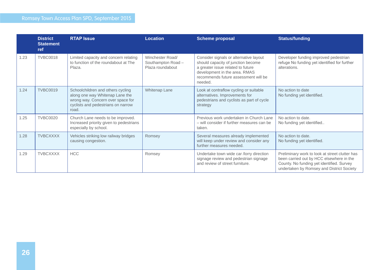|      | <b>District</b><br><b>Statement</b><br>ref | <b>RTAP Issue</b>                                                                                                                                        | <b>Location</b>                                           | <b>Scheme proposal</b>                                                                                                                                                                                | <b>Status/funding</b>                                                                                                                                                                |
|------|--------------------------------------------|----------------------------------------------------------------------------------------------------------------------------------------------------------|-----------------------------------------------------------|-------------------------------------------------------------------------------------------------------------------------------------------------------------------------------------------------------|--------------------------------------------------------------------------------------------------------------------------------------------------------------------------------------|
| 1.23 | <b>TVBC0018</b>                            | Limited capacity and concern relating<br>to function of the roundabout at The<br>Plaza.                                                                  | Winchester Road/<br>Southampton Road-<br>Plaza roundabout | Consider signals or alternative layout<br>should capacity of junction become<br>a greater issue related to future<br>development in the area. RMAS<br>recommends future assessment will be<br>needed. | Developer funding improved pedestrian<br>refuge No funding yet identified for further<br>alterations.                                                                                |
| 1.24 | <b>TVBC0019</b>                            | Schoolchildren and others cycling<br>along one way Whitenap Lane the<br>wrong way. Concern over space for<br>cyclists and pedestrians on narrow<br>road. | Whitenap Lane                                             | Look at contraflow cycling or suitable<br>alternatives. Improvements for<br>pedestrians and cyclists as part of cycle<br>strategy                                                                     | No action to date<br>No funding yet identified.                                                                                                                                      |
| 1.25 | <b>TVBC0020</b>                            | Church Lane needs to be improved.<br>Increased priority given to pedestrians<br>especially by school.                                                    |                                                           | Previous work undertaken in Church Lane<br>- will consider if further measures can be<br>taken.                                                                                                       | No action to date.<br>No funding yet identified                                                                                                                                      |
| 1.28 | <b>TVBCXXXX</b>                            | Vehicles striking low railway bridges<br>causing congestion.                                                                                             | Romsey                                                    | Several measures already implemented<br>will keep under review and consider any<br>further measures needed.                                                                                           | No action to date.<br>No funding yet identified.                                                                                                                                     |
| 1.29 | <b>TVBCXXXX</b>                            | <b>HCC</b>                                                                                                                                               | Romsey                                                    | Undertake town wide car /lorry direction<br>signage review and pedestrian signage<br>and review of street furniture.                                                                                  | Preliminary work to look at street clutter has<br>been carried out by HCC elsewhere in the<br>County. No funding yet identified. Survey<br>undertaken by Romsey and District Society |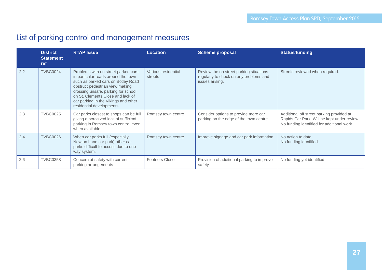### List of parking control and management measures

|     | <b>District</b><br><b>Statement</b><br>ref | <b>RTAP Issue</b>                                                                                                                                                                                                                                                                                    | <b>Location</b>                | <b>Scheme proposal</b>                                                                               | <b>Status/funding</b>                                                                                                                  |
|-----|--------------------------------------------|------------------------------------------------------------------------------------------------------------------------------------------------------------------------------------------------------------------------------------------------------------------------------------------------------|--------------------------------|------------------------------------------------------------------------------------------------------|----------------------------------------------------------------------------------------------------------------------------------------|
| 2.2 | <b>TVBC0024</b>                            | Problems with on street parked cars<br>in particular roads around the town<br>such as parked cars on Botley Road<br>obstruct pedestrian view making<br>crossing unsafe, parking for school<br>on St. Clements Close and lack of<br>car parking in the Vikings and other<br>residential developments. | Various residential<br>streets | Review the on street parking situations<br>regularly to check on any problems and<br>issues arising. | Streets reviewed when required.                                                                                                        |
| 2.3 | <b>TVBC0025</b>                            | Car parks closest to shops can be full<br>giving a perceived lack of sufficient<br>parking in Romsey town centre; even<br>when available.                                                                                                                                                            | Romsey town centre             | Consider options to provide more car<br>parking on the edge of the town centre.                      | Additional off street parking provided at<br>Rapids Car Park. Will be kept under review.<br>No funding identified for additional work. |
| 2.4 | <b>TVBC0026</b>                            | When car parks full (especially<br>Newton Lane car park) other car<br>parks difficult to access due to one<br>way system.                                                                                                                                                                            | Romsey town centre             | Improve signage and car park information.                                                            | No action to date.<br>No funding identified.                                                                                           |
| 2.6 | <b>TVBC0358</b>                            | Concern at safety with current<br>parking arrangements                                                                                                                                                                                                                                               | <b>Footners Close</b>          | Provision of additional parking to improve<br>safety                                                 | No funding yet identified.                                                                                                             |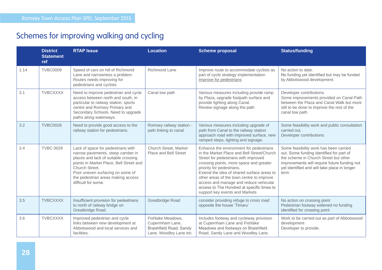### Schemes for improving walking and cycling

|      | <b>District</b><br><b>Statement</b><br>ref | <b>RTAP Issue</b>                                                                                                                                                                                                                                                             | <b>Location</b>                                                                           | <b>Scheme proposal</b>                                                                                                                                                                                                                                                                                                                                                                                                     | <b>Status/funding</b>                                                                                                                                                                                                               |
|------|--------------------------------------------|-------------------------------------------------------------------------------------------------------------------------------------------------------------------------------------------------------------------------------------------------------------------------------|-------------------------------------------------------------------------------------------|----------------------------------------------------------------------------------------------------------------------------------------------------------------------------------------------------------------------------------------------------------------------------------------------------------------------------------------------------------------------------------------------------------------------------|-------------------------------------------------------------------------------------------------------------------------------------------------------------------------------------------------------------------------------------|
| 1.14 | <b>TVBC0009</b>                            | Speed of cars on hill of Richmond<br>Lane and narrowness a problem.<br>Routes needs improving for<br>pedestrians and cyclists                                                                                                                                                 | Richmond Lane                                                                             | Improve route to accommodate cyclists as<br>part of cycle strategy implementation<br>Improve for pedestrians                                                                                                                                                                                                                                                                                                               | No action to date.<br>No funding yet identified but may be funded<br>by Abbotswood development.                                                                                                                                     |
| 3.1  | <b>TVBCXXXX</b>                            | Need to improve pedestrian and cycle<br>access between north and south, in<br>particular to railway station, sports<br>centre and Romsey Primary and<br>Secondary Schools. Need to upgrade<br>paths along waterways.                                                          | Canal tow path                                                                            | Various measures including provide ramp<br>by Plaza, upgrade footpath surface and<br>provide lighting along Canal.<br>Review signage along the path                                                                                                                                                                                                                                                                        | Developer contributions<br>Some improvements provided on Canal Path<br>between the Plaza and Canal Walk but more<br>still to be done to improve the rest of the<br>canal tow path                                                   |
| 3.2  | <b>TVBC0028</b>                            | Need to provide good access to the<br>railway station for pedestrians.                                                                                                                                                                                                        | Romsey railway station -<br>path linking to canal                                         | Various measures including upgrade of<br>path from Canal to the railway station<br>approach road with improved surface, new<br>ramped steps, lighting and signage.                                                                                                                                                                                                                                                         | Some feasibility work and public consultation<br>carried out.<br>Developer contributions.                                                                                                                                           |
| 3.4  | <b>TVBC 0029</b>                           | Lack of space for pedestrians with<br>narrow pavements, steep camber in<br>places and lack of suitable crossing<br>points in Market Place, Bell Street and<br>Church Street.<br>Poor uneven surfacing on some of<br>the pedestrian areas making access<br>difficult for some. | Church Street, Market<br>Place and Bell Street                                            | Enhance the environment for pedestrians<br>in the Market Place and Bell Street/Church<br>Street for pedestrians with improved<br>crossing points, more space and greater<br>priority for pedestrians.<br>Extend the idea of shared surface areas to<br>other areas of the town centre to improve<br>access and manage and reduce vehicular<br>access to The Hundred at specific times to<br>support key events and Markets | Some feasibility work has been carried<br>out. Some funding identified for part of<br>the scheme in Church Street but other<br>improvements will require future funding not<br>yet identified and will take place in longer<br>term |
| 3.5  | <b>TVBCXXXX</b>                            | Insufficient provision for pedestrians<br>to north of railway bridge on<br>Greatbridge Road.                                                                                                                                                                                  | Greatbridge Road                                                                          | consider providing refuge to cross road<br>opposite the house 'Timaru'                                                                                                                                                                                                                                                                                                                                                     | No action on crossing point<br>Pedestrian footway widened no funding<br>identified for crossing point                                                                                                                               |
| 3.6  | <b>TVBCXXXX</b>                            | Improved pedestrian and cycle<br>links between new development at<br>Abbotswood and local services and<br>facilities.                                                                                                                                                         | Fishlake Meadows,<br>Cupermham Lane,<br>Braishfield Road, Sandy<br>Lane, Woodley Lane etc | Includes footway and cycleway provision<br>at Cupernham Lane and Fishlake<br>Meadows and footways on Braishfield<br>Road, Sandy Lane and Woodley Lane.                                                                                                                                                                                                                                                                     | Work to be carried out as part of Abbotswood<br>development<br>Developer to provide.                                                                                                                                                |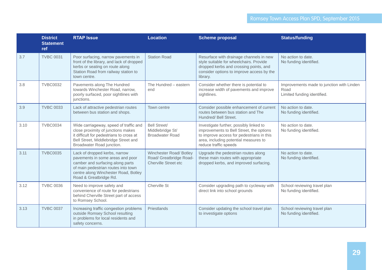|      | <b>District</b><br><b>Statement</b><br>ref | <b>RTAP Issue</b>                                                                                                                                                                                              | <b>Location</b>                                                           | <b>Scheme proposal</b>                                                                                                                                                                             | <b>Status/funding</b>                                                            |
|------|--------------------------------------------|----------------------------------------------------------------------------------------------------------------------------------------------------------------------------------------------------------------|---------------------------------------------------------------------------|----------------------------------------------------------------------------------------------------------------------------------------------------------------------------------------------------|----------------------------------------------------------------------------------|
| 3.7  | <b>TVBC 0031</b>                           | Poor surfacing, narrow pavements in<br>front of the library, and lack of dropped<br>kerbs or seating on route along<br>Station Road from railway station to<br>town centre.                                    | <b>Station Road</b>                                                       | Resurface with drainage channels in new<br>style suitable for wheelchairs. Provide<br>dropped kerbs and crossing points, and<br>consider options to improve access by the<br>library.              | No action to date.<br>No funding identified.                                     |
| 3.8  | <b>TVBC0032</b>                            | Pavements along The Hundred<br>towards Winchester Road, narrow,<br>poorly surfaced, poor sightlines with<br>junctions.                                                                                         | The Hundred - eastern<br>end                                              | Consider whether there is potential to<br>increase width of pavements and improve<br>sightlines.                                                                                                   | Improvements made to junction with Linden<br>Road<br>Limited funding identified. |
| 3.9  | <b>TVBC 0033</b>                           | Lack of attractive pedestrian routes<br>between bus station and shops.                                                                                                                                         | Town centre                                                               | Consider possible enhancement of current<br>routes between bus station and The<br>Hundred/ Bell Street.                                                                                            | No action to date.<br>No funding identified.                                     |
| 3.10 | <b>TVBC0034</b>                            | Wide carriageway, speed of traffic and<br>close proximity of junctions makes<br>it difficult for pedestrians to cross at<br>Bell Street, Middlebridge Street and<br>Broadwater Road junction.                  | <b>Bell Street/</b><br>Middlebridge St/<br><b>Broadwater Road</b>         | Investigate further, possibly linked to<br>improvements to Bell Street, the options<br>to improve access for pedestrians in this<br>area, including potential measures to<br>reduce traffic speeds | No action to date.<br>No funding identified.                                     |
| 3.11 | <b>TVBC0035</b>                            | Lack of dropped kerbs, narrow<br>pavements in some areas and poor<br>camber and surfacing along parts<br>of main pedestrian routes into town<br>centre along Winchester Road, Botley<br>Road & Greatbridge Rd. | Winchester Road/Botley<br>Road/ Greatbridge Road-<br>Cherville Street etc | Upgrade the pedestrian routes along<br>these main routes with appropriate<br>dropped kerbs, and improved surfacing.                                                                                | No action to date.<br>No funding identified.                                     |
| 3.12 | <b>TVBC 0036</b>                           | Need to improve safety and<br>convenience of route for pedestrians<br>behind Cherville Street part of access<br>to Romsey School.                                                                              | Cherville St                                                              | Consider upgrading path to cycleway with<br>direct link into school grounds                                                                                                                        | School reviewing travel plan<br>No funding identified.                           |
| 3.13 | <b>TVBC 0037</b>                           | Increasing traffic congestion problems<br>outside Romsey School resulting<br>in problems for local residents and<br>safety concerns.                                                                           | Priestlands                                                               | Consider updating the school travel plan<br>to investigate options                                                                                                                                 | School reviewing travel plan<br>No funding identified.                           |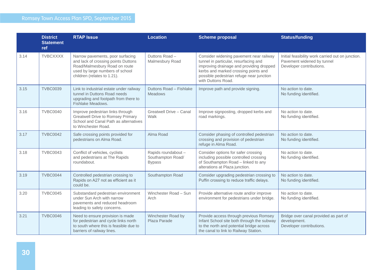|      | <b>District</b><br><b>Statement</b><br>ref | <b>RTAP Issue</b>                                                                                                                                                          | <b>Location</b>                                           | <b>Scheme proposal</b>                                                                                                                                                                                                                 | <b>Status/funding</b>                                                                                       |
|------|--------------------------------------------|----------------------------------------------------------------------------------------------------------------------------------------------------------------------------|-----------------------------------------------------------|----------------------------------------------------------------------------------------------------------------------------------------------------------------------------------------------------------------------------------------|-------------------------------------------------------------------------------------------------------------|
| 3.14 | <b>TVBCXXXX</b>                            | Narrow pavements, poor surfacing<br>and lack of crossing points Duttons<br>Road/Malmesbury Road on route<br>used by large numbers of school<br>children (relates to 1.21). | Duttons Road-<br>Malmesbury Road                          | Consider widening pavement near railway<br>tunnel in particular, resurfacing and<br>improving drainage and providing dropped<br>kerbs and marked crossing points and<br>possible pedestrian refuge near junction<br>with Duttons Road. | Initial feasibility work carried out on junction.<br>Pavement widened by tunnel<br>Developer contributions. |
| 3.15 | <b>TVBC0039</b>                            | Link to industrial estate under railway<br>tunnel in Duttons Road needs<br>upgrading and footpath from there to<br>Fishlake Meadows.                                       | Duttons Road - Fishlake<br><b>Meadows</b>                 | Improve path and provide signing.                                                                                                                                                                                                      | No action to date.<br>No funding identified.                                                                |
| 3.16 | <b>TVBC0040</b>                            | Improve pedestrian links through<br><b>Greatwell Drive to Romsey Primary</b><br>School and Canal Path as alternatives<br>to Winchester Road.                               | Greatwell Drive - Canal<br>Walk                           | Improve signposting, dropped kerbs and<br>road markings.                                                                                                                                                                               | No action to date.<br>No funding identified.                                                                |
| 3.17 | <b>TVBC0042</b>                            | Safe crossing points provided for<br>pedestrians on Alma Road.                                                                                                             | Alma Road                                                 | Consider phasing of controlled pedestrian<br>crossing and provision of pedestrian<br>refuge in Alma Road.                                                                                                                              | No action to date.<br>No funding identified.                                                                |
| 3.18 | <b>TVBC0043</b>                            | Conflict of vehicles, cyclists<br>and pedestrians at The Rapids<br>roundabout.                                                                                             | Rapids roundabout -<br>Southampton Road/<br><b>Bypass</b> | Consider options for safer crossing<br>including possible controlled crossing<br>of Southampton Road - linked to any<br>alterations at Plaza junction.                                                                                 | No action to date.<br>No funding identified.                                                                |
| 3.19 | <b>TVBC0044</b>                            | Controlled pedestrian crossing to<br>Rapids on A27 not as efficient as it<br>could be.                                                                                     | Southampton Road                                          | Consider upgrading pedestrian crossing to<br>Puffin crossing to reduce traffic delays.                                                                                                                                                 | No action to date.<br>No funding identified.                                                                |
| 3.20 | <b>TVBC0045</b>                            | Substandard pedestrian environment<br>under Sun Arch with narrow<br>pavements and reduced headroom<br>leading to safety concerns.                                          | Winchester Road - Sun<br>Arch                             | Provide alternative route and/or improve<br>environment for pedestrians under bridge.                                                                                                                                                  | No action to date.<br>No funding identified.                                                                |
| 3.21 | <b>TVBC0046</b>                            | Need to ensure provision is made<br>for pedestrian and cycle links north<br>to south where this is feasible due to<br>barriers of railway lines.                           | Winchester Road by<br>Plaza Parade                        | Provide access through previous Romsey<br>Infant School site both through the subway<br>to the north and potential bridge across<br>the canal to link to Railway Station.                                                              | Bridge over canal provided as part of<br>development.<br>Developer contributions.                           |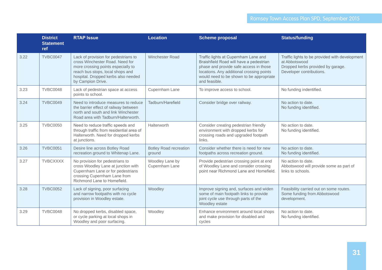|      | <b>District</b><br><b>Statement</b><br>ref | <b>RTAP Issue</b>                                                                                                                                                                                             | <b>Location</b>                         | <b>Scheme proposal</b>                                                                                                                                                                                                              | <b>Status/funding</b>                                                                                                            |
|------|--------------------------------------------|---------------------------------------------------------------------------------------------------------------------------------------------------------------------------------------------------------------|-----------------------------------------|-------------------------------------------------------------------------------------------------------------------------------------------------------------------------------------------------------------------------------------|----------------------------------------------------------------------------------------------------------------------------------|
| 3.22 | <b>TVBC0047</b>                            | Lack of provision for pedestrians to<br>cross Winchester Road. Need for<br>more crossing points especially to<br>reach bus stops, local shops and<br>hospital. Dropped kerbs also needed<br>by Campion Drive. | <b>Winchester Road</b>                  | Traffic lights at Cupernham Lane and<br>Braishfield Road will have a pedestrian<br>phase and provide safe access in those<br>locations. Any additional crossing points<br>would need to be shown to be appropriate<br>and feasible. | Traffic lights to be provided with development<br>at Abbotswood<br>Dropped kerbs provided by garage.<br>Developer contributions. |
| 3.23 | <b>TVBC0048</b>                            | Lack of pedestrian space at access<br>points to school.                                                                                                                                                       | Cupernham Lane                          | To improve access to school.                                                                                                                                                                                                        | No funding indentified.                                                                                                          |
| 3.24 | <b>TVBC0049</b>                            | Need to introduce measures to reduce<br>the barrier effect of railway between<br>north and south and link Winchester<br>Road area with Tadburn/Halterworth.                                                   | Tadburn/Harefield                       | Consider bridge over railway.                                                                                                                                                                                                       | No action to date.<br>No funding identified.                                                                                     |
| 3.25 | <b>TVBC0050</b>                            | Need to reduce traffic speeds and<br>through traffic from residential area of<br>Halterworth. Need for dropped kerbs<br>at junctions.                                                                         | Halterworth                             | Consider creating pedestrian friendly<br>environment with dropped kerbs for<br>crossing roads and upgraded footpath<br>links.                                                                                                       | No action to date.<br>No funding identified.                                                                                     |
| 3.26 | <b>TVBC0051</b>                            | Desire line across Botley Road<br>recreation ground to Whitenap Lane.                                                                                                                                         | <b>Botley Road recreation</b><br>ground | Consider whether there is need for new<br>footpaths across recreation ground.                                                                                                                                                       | No action to date.<br>No funding identified.                                                                                     |
| 3.27 | <b>TVBCXXXX</b>                            | No provision for pedestrians to<br>cross Woodley Lane at junction with<br>Cupernham Lane or for pedestrians<br>crossing Cupernham Lane from<br>Richmond Lane to Homefield.                                    | Woodley Lane by<br>Cupernham Lane       | Provide pedestrian crossing point at end<br>of Woodley Lane and consider crossing<br>point near Richmond Lane and Homefield.                                                                                                        | No action to date.<br>Abbotswood will provide some as part of<br>links to schools.                                               |
| 3.28 | <b>TVBC0052</b>                            | Lack of signing, poor surfacing<br>and narrow footpaths with no cycle<br>provision in Woodley estate.                                                                                                         | Woodley                                 | Improve signing and, surfaces and widen<br>some of main footpath links to provide<br>joint cycle use through parts of the<br>Woodley estate                                                                                         | Feasibility carried out on some routes.<br>Some funding from Abbotswood<br>development.                                          |
| 3.29 | <b>TVBC0048</b>                            | No dropped kerbs, disabled space,<br>or cycle parking at local shops in<br>Woodley and poor surfacing.                                                                                                        | Woodley                                 | Enhance environment around local shops<br>and make provision for disabled and<br>cycles                                                                                                                                             | No action to date.<br>No funding identified.                                                                                     |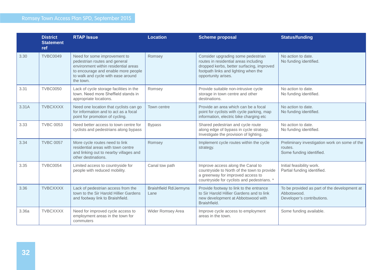|       | <b>District</b><br><b>Statement</b><br>ref | <b>RTAP Issue</b>                                                                                                                                                                               | <b>Location</b>                       | <b>Scheme proposal</b>                                                                                                                                                                  | <b>Status/funding</b>                                                                     |
|-------|--------------------------------------------|-------------------------------------------------------------------------------------------------------------------------------------------------------------------------------------------------|---------------------------------------|-----------------------------------------------------------------------------------------------------------------------------------------------------------------------------------------|-------------------------------------------------------------------------------------------|
| 3.30  | <b>TVBC0049</b>                            | Need for some improvement to<br>pedestrian routes and general<br>environment within residential areas<br>to encourage and enable more people<br>to walk and cycle with ease around<br>the town. | Romsey                                | Consider upgrading some pedestrian<br>routes in residential areas including<br>dropped kerbs, better surfacing, improved<br>footpath links and lighting when the<br>opportunity arises. | No action to date.<br>No funding identified.                                              |
| 3.31  | <b>TVBC0050</b>                            | Lack of cycle storage facilities in the<br>town. Need more Sheffield stands in<br>appropriate locations.                                                                                        | Romsey                                | Provide suitable non-intrusive cycle<br>storage in town centre and other<br>destinations.                                                                                               | No action to date.<br>No funding identified.                                              |
| 3.31A | <b>TVBCXXXX</b>                            | Need one location that cyclists can go<br>for information and to act as a focal<br>point for promotion of cycling.                                                                              | Town centre                           | Provide an area which can be a focal<br>point for cyclists with cycle parking, map<br>information, electric bike charging etc                                                           | No action to date.<br>No funding identified.                                              |
| 3.33  | <b>TVBC 0053</b>                           | Need better access to town centre for<br>cyclists and pedestrians along bypass                                                                                                                  | <b>Bypass</b>                         | Shared pedestrian and cycle route<br>along edge of bypass in cycle strategy.<br>Investigate the provision of lighting.                                                                  | No action to date.<br>No funding identified.                                              |
| 3.34  | <b>TVBC 0057</b>                           | More cycle routes need to link<br>residential areas with town centre<br>and linking out to nearby villages and<br>other destinations.                                                           | Romsey                                | Implement cycle routes within the cycle<br>strategy.                                                                                                                                    | Preliminary investigation work on some of the<br>routes.<br>Some funding identified.      |
| 3.35  | <b>TVBC0054</b>                            | Limited access to countryside for<br>people with reduced mobility.                                                                                                                              | Canal tow path                        | Improve access along the Canal to<br>countryside to North of the town to provide<br>a greenway for improved access to<br>countryside for cyclists and pedestrians. *                    | Initial feasibility work.<br>Partial funding identified.                                  |
| 3.36  | <b>TVBCXXXX</b>                            | Lack of pedestrian access from the<br>town to the Sir Harold Hillier Gardens<br>and footway link to Braishfield.                                                                                | <b>Braishfield Rd/Jermyns</b><br>Lane | Provide footway to link to the entrance<br>to Sir Harold Hillier Gardens and to link<br>new development at Abbotswood with<br>Braishfield.                                              | To be provided as part of the development at<br>Abbotswood.<br>Developer's contributions. |
| 3.36a | <b>TVBCXXXX</b>                            | Need for improved cycle access to<br>employment areas in the town for<br>commuters                                                                                                              | Wider Romsey Area                     | Improve cycle access to employment<br>areas in the town.                                                                                                                                | Some funding available.                                                                   |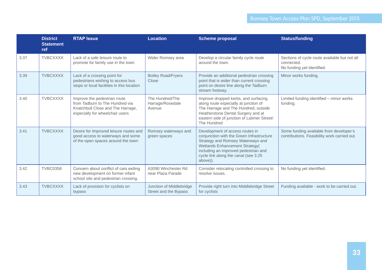|      | <b>District</b><br><b>Statement</b><br>ref | <b>RTAP Issue</b>                                                                                                                       | <b>Location</b>                                   | <b>Scheme proposal</b>                                                                                                                                                                                                                          | <b>Status/funding</b>                                                                     |
|------|--------------------------------------------|-----------------------------------------------------------------------------------------------------------------------------------------|---------------------------------------------------|-------------------------------------------------------------------------------------------------------------------------------------------------------------------------------------------------------------------------------------------------|-------------------------------------------------------------------------------------------|
| 3.37 | <b>TVBCXXXX</b>                            | Lack of a safe leisure route to<br>promote for family use in the town                                                                   | Wider Romsey area                                 | Develop a circular family cycle route<br>around the town.                                                                                                                                                                                       | Sections of cycle route available but not all<br>connected.<br>No funding yet identified. |
| 3.39 | <b>TVBCXXXX</b>                            | Lack of a crossing point for<br>pedestrians wishing to access bus<br>stops or local facilities in this location                         | <b>Botley Road/Fryers</b><br>Close                | Provide an additional pedestrian crossing<br>point that is wider than current crossing<br>point on desire line along the Tadburn<br>stream footway.                                                                                             | Minor works funding.                                                                      |
| 3.40 | <b>TVBCXXXX</b>                            | Improve the pedestrian route<br>from Tadburn to The Hundred via<br>Knatchbull Close and The Harrage,<br>especially for wheelchair users | The Hundred/The<br>Harrage/Rosedale<br>Avenue     | Improve dropped kerbs, and surfacing<br>along route especially at junction of<br>The Harrage and The Hundred, outside<br>Heatherstone Dental Surgery and at<br>eastern side of junction of Latimer Street/<br>The Hundred                       | Limited funding identified - minor works<br>funding.                                      |
| 3.41 | <b>TVBCXXXX</b>                            | Desire for Improved leisure routes and<br>good access to waterways and some<br>of the open spaces around the town                       | Romsey waterways and<br>green spaces              | Development of access routes in<br>conjunction with the Green Infrastructure<br>Strategy and Romsey Waterways and<br>Wetlands Enhancement Strategy(<br>including an improved pedestrian and<br>cycle link along the canal (see 3.25<br>above)). | Some funding available from developer's<br>contributions. Feasibility work carried out.   |
| 3.42 | <b>TVBC0358</b>                            | Concern about conflict of cars exiting<br>new development on former infant<br>school site and pedestrian crossing.                      | A3090 Winchester Rd<br>near Plaza Parade          | Consider relocating controlled crossing to<br>resolve issues.                                                                                                                                                                                   | No funding yet identified.                                                                |
| 3.43 | <b>TVBCXXXX</b>                            | Lack of provision for cyclists on<br>bypass                                                                                             | Junction of Middlebridge<br>Street and the Bypass | Provide right turn into Middlebridge Street<br>for cyclists                                                                                                                                                                                     | Funding available - work to be carried out.                                               |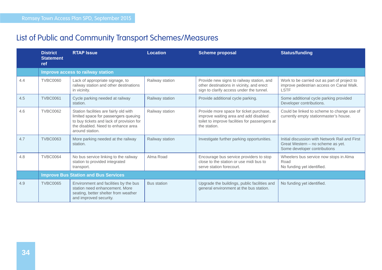### List of Public and Community Transport Schemes/Measures

|     | <b>District</b><br><b>Statement</b><br><b>ref</b> | <b>RTAP Issue</b>                                                                                                                                                                   | <b>Location</b>    | <b>Scheme proposal</b>                                                                                                                             | <b>Status/funding</b>                                                                                               |  |  |  |
|-----|---------------------------------------------------|-------------------------------------------------------------------------------------------------------------------------------------------------------------------------------------|--------------------|----------------------------------------------------------------------------------------------------------------------------------------------------|---------------------------------------------------------------------------------------------------------------------|--|--|--|
|     |                                                   | Improve access to railway station                                                                                                                                                   |                    |                                                                                                                                                    |                                                                                                                     |  |  |  |
| 4.4 | <b>TVBC0060</b>                                   | Lack of appropriate signage, to<br>railway station and other destinations<br>in vicinity.                                                                                           | Railway station    | Provide new signs to railway station, and<br>other destinations in vicinity, and erect<br>sign to clarify access under the tunnel.                 | Work to be carried out as part of project to<br>improve pedestrian access on Canal Walk.<br><b>LSTF</b>             |  |  |  |
| 4.5 | <b>TVBC0061</b>                                   | Cycle parking needed at railway<br>station.                                                                                                                                         | Railway station    | Provide additional cycle parking.                                                                                                                  | Some additional cycle parking provided<br>Developer contributions.                                                  |  |  |  |
| 4.6 | <b>TVBC0062</b>                                   | Station facilities are fairly old with<br>limited space for passengers queuing<br>to buy tickets and lack of provision for<br>the disabled. Need to enhance area<br>around station. | Railway station    | Provide more space for ticket purchase,<br>improve waiting area and add disabled<br>toilet to improve facilities for passengers at<br>the station. | Could be linked to scheme to change use of<br>currently empty stationmaster's house.                                |  |  |  |
| 4.7 | <b>TVBC0063</b>                                   | More parking needed at the railway<br>station.                                                                                                                                      | Railway station    | Investigate further parking opportunities.                                                                                                         | Initial discussion with Network Rail and First<br>Great Western - no scheme as yet.<br>Some developer contributions |  |  |  |
| 4.8 | <b>TVBC0064</b>                                   | No bus service linking to the railway<br>station to provided integrated<br>transport.                                                                                               | Alma Road          | Encourage bus service providers to stop<br>close to the station or use midi bus to<br>serve station forecourt.                                     | Wheelers bus service now stops in Alma<br>Road<br>No funding yet identified.                                        |  |  |  |
|     | <b>Improve Bus Station and Bus Services</b>       |                                                                                                                                                                                     |                    |                                                                                                                                                    |                                                                                                                     |  |  |  |
| 4.9 | <b>TVBC0065</b>                                   | Environment and facilities by the bus<br>station need enhancement. More<br>seating, better shelter from weather<br>and improved security.                                           | <b>Bus station</b> | Upgrade the buildings, public facilities and<br>general environment at the bus station.                                                            | No funding yet identified.                                                                                          |  |  |  |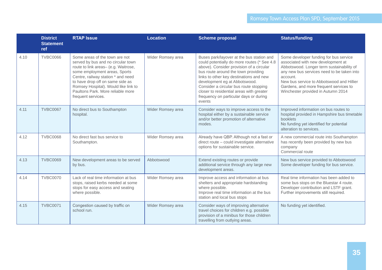|      | <b>District</b><br><b>Statement</b><br>ref | <b>RTAP Issue</b>                                                                                                                                                                                                                                                                                                          | <b>Location</b>   | <b>Scheme proposal</b>                                                                                                                                                                                                                                                                                                                                                                            | <b>Status/funding</b>                                                                                                                                                                                                                                                                                            |
|------|--------------------------------------------|----------------------------------------------------------------------------------------------------------------------------------------------------------------------------------------------------------------------------------------------------------------------------------------------------------------------------|-------------------|---------------------------------------------------------------------------------------------------------------------------------------------------------------------------------------------------------------------------------------------------------------------------------------------------------------------------------------------------------------------------------------------------|------------------------------------------------------------------------------------------------------------------------------------------------------------------------------------------------------------------------------------------------------------------------------------------------------------------|
| 4.10 | <b>TVBC0066</b>                            | Some areas of the town are not<br>served by bus and no circular town<br>route to link areas- (e.g. Waitrose,<br>some employment areas, Sports<br>Centre, railway station * and need<br>to have drop off on same side as<br>Romsey Hospital). Would like link to<br>Paultons Park. More reliable more<br>frequent services. | Wider Romsey area | Buses park/layover at the bus station and<br>could potentially do more routes (* See 4.8<br>above). Consider provision of a circular<br>bus route around the town providing<br>links to other key destinations and new<br>development eg at Abbotswood.<br>Consider a circular bus route stopping<br>closer to residential areas with greater<br>frequency on particular days or during<br>events | Some developer funding for bus service<br>associated with new development at<br>Abbotswood. Longer term sustainability of<br>any new bus services need to be taken into<br>account.<br>New bus service to Abbotswood and Hillier<br>Gardens, and more frequent services to<br>Winchester provided in Autumn 2014 |
| 4.11 | <b>TVBC0067</b>                            | No direct bus to Southampton<br>hospital.                                                                                                                                                                                                                                                                                  | Wider Romsey area | Consider ways to improve access to the<br>hospital either by a sustainable service<br>and/or better promotion of alternative<br>modes.                                                                                                                                                                                                                                                            | Improved information on bus routes to<br>hospital provided in Hampshire bus timetable<br>booklets<br>No funding yet identified for potential<br>alteration to services.                                                                                                                                          |
| 4.12 | <b>TVBC0068</b>                            | No direct fast bus service to<br>Southampton.                                                                                                                                                                                                                                                                              | Wider Romsey area | Already have QBP. Although not a fast or<br>direct route - could investigate alternative<br>options for sustainable service.                                                                                                                                                                                                                                                                      | A new commercial route into Southampton<br>has recently been provided by new bus<br>company<br>Commercial route                                                                                                                                                                                                  |
| 4.13 | <b>TVBC0069</b>                            | New development areas to be served<br>by bus.                                                                                                                                                                                                                                                                              | Abbotswood        | Extend existing routes or provide<br>additional service through any large new<br>development areas.                                                                                                                                                                                                                                                                                               | New bus service provided to Abbotswood<br>Some developer funding for bus service.                                                                                                                                                                                                                                |
| 4.14 | <b>TVBC0070</b>                            | Lack of real time information at bus<br>stops, raised kerbs needed at some<br>stops for easy access and seating<br>where possible.                                                                                                                                                                                         | Wider Romsey area | Improve access and information at bus<br>shelters and appropriate hardstanding<br>where possible.<br>Improve real time information at the bus<br>station and local bus stops                                                                                                                                                                                                                      | Real time information has been added to<br>some bus stops on the Bluestar 4 route.<br>Developer contribution and LSTF grant.<br>Further improvements still required.                                                                                                                                             |
| 4.15 | <b>TVBC0071</b>                            | Congestion caused by traffic on<br>school run.                                                                                                                                                                                                                                                                             | Wider Romsey area | Consider ways of improving alternative<br>travel choices for children e.g. possible<br>provision of a minibus for those children<br>travelling from outlying areas.                                                                                                                                                                                                                               | No funding yet identified.                                                                                                                                                                                                                                                                                       |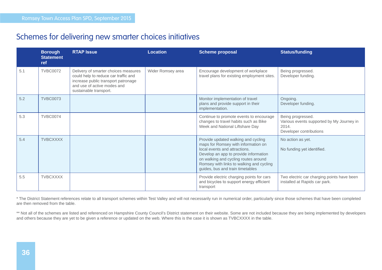#### Schemes for delivering new smarter choices initiatives

|     | <b>Borough</b><br><b>Statement</b><br>ref | <b>RTAP Issue</b>                                                                                                                                                            | <b>Location</b>   | <b>Scheme proposal</b>                                                                                                                                                                                                                                                       | <b>Status/funding</b>                                                                              |
|-----|-------------------------------------------|------------------------------------------------------------------------------------------------------------------------------------------------------------------------------|-------------------|------------------------------------------------------------------------------------------------------------------------------------------------------------------------------------------------------------------------------------------------------------------------------|----------------------------------------------------------------------------------------------------|
| 5.1 | <b>TVBC0072</b>                           | Delivery of smarter choices measures<br>could help to reduce car traffic and<br>increase public transport patronage<br>and use of active modes and<br>sustainable transport. | Wider Romsey area | Encourage development of workplace<br>travel plans for existing employment sites.                                                                                                                                                                                            | Being progressed.<br>Developer funding.                                                            |
| 5.2 | <b>TVBC0073</b>                           |                                                                                                                                                                              |                   | Monitor implementation of travel<br>plans and provide support in their<br>implementation.                                                                                                                                                                                    | Ongoing.<br>Developer funding.                                                                     |
| 5.3 | <b>TVBC0074</b>                           |                                                                                                                                                                              |                   | Continue to promote events to encourage<br>changes to travel habits such as Bike<br>Week and National Liftshare Day                                                                                                                                                          | Being progressed.<br>Various events supported by My Journey in<br>2014.<br>Developer contributions |
| 5.4 | <b>TVBCXXXX</b>                           |                                                                                                                                                                              |                   | Provide updated walking and cycling<br>maps for Romsey with information on<br>local events and attractions.<br>Develop an app to provide information<br>on walking and cycling routes around<br>Romsey with links to walking and cycling<br>guides, bus and train timetables | No action as yet.<br>No funding yet identified.                                                    |
| 5.5 | <b>TVBCXXXX</b>                           |                                                                                                                                                                              |                   | Provide electric charging points for cars<br>and bicycles to support energy efficient<br>transport                                                                                                                                                                           | Two electric car charging points have been<br>installed at Rapids car park.                        |

\* The District Statement references relate to all transport schemes within Test Valley and will not necessarily run in numerical order, particularly since those schemes that have been completed are then removed from the table.

\*\* Not all of the schemes are listed and referenced on Hampshire County Council's District statement on their website. Some are not included because they are being implemented by developers and others because they are yet to be given a reference or updated on the web. Where this is the case it is shown as TVBCXXXX in the table.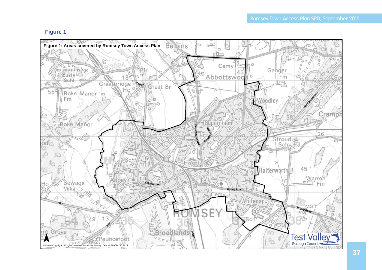#### **Figure 1**

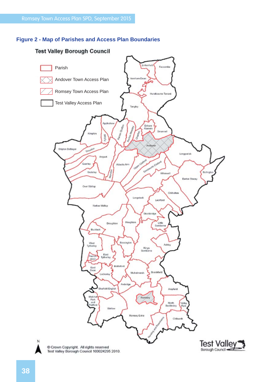#### **Figure 2 - Map of Parishes and Access Plan Boundaries**